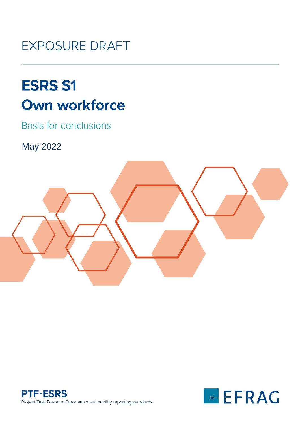## **EXPOSURE DRAFT**

# **ESRS S1 Own workforce**

**Basis for conclusions** 

May 2022





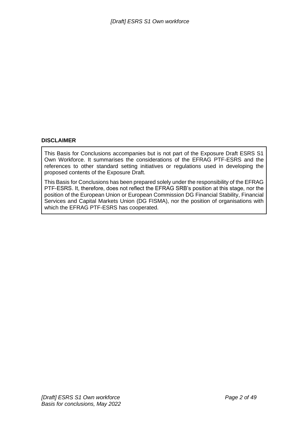#### **DISCLAIMER**

This Basis for Conclusions accompanies but is not part of the Exposure Draft ESRS S1 Own Workforce. It summarises the considerations of the EFRAG PTF-ESRS and the references to other standard setting initiatives or regulations used in developing the proposed contents of the Exposure Draft.

This Basis for Conclusions has been prepared solely under the responsibility of the EFRAG PTF-ESRS. It, therefore, does not reflect the EFRAG SRB's position at this stage, nor the position of the European Union or European Commission DG Financial Stability, Financial Services and Capital Markets Union (DG FISMA), nor the position of organisations with which the EFRAG PTF-ESRS has cooperated.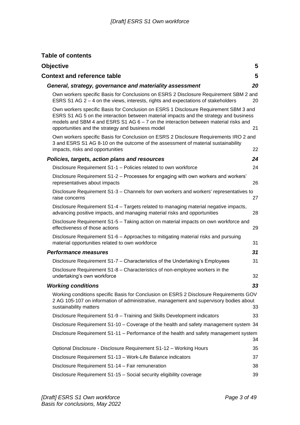## **Table of contents**

| <b>Objective</b>                                                                                                                                                                                                                                                                                                             | 5  |
|------------------------------------------------------------------------------------------------------------------------------------------------------------------------------------------------------------------------------------------------------------------------------------------------------------------------------|----|
| <b>Context and reference table</b>                                                                                                                                                                                                                                                                                           | 5  |
| General, strategy, governance and materiality assessment                                                                                                                                                                                                                                                                     | 20 |
| Own workers specific Basis for Conclusions on ESRS 2 Disclosure Requirement SBM 2 and<br>ESRS S1 AG 2 - 4 on the views, interests, rights and expectations of stakeholders                                                                                                                                                   | 20 |
| Own workers specific Basis for Conclusion on ESRS 1 Disclosure Requirement SBM 3 and<br>ESRS S1 AG 5 on the interaction between material impacts and the strategy and business<br>models and SBM 4 and ESRS S1 AG $6 - 7$ on the interaction between material risks and<br>opportunities and the strategy and business model | 21 |
| Own workers specific Basis for Conclusion on ESRS 2 Disclosure Requirements IRO 2 and<br>3 and ESRS S1 AG 8-10 on the outcome of the assessment of material sustainability<br>impacts, risks and opportunities                                                                                                               | 22 |
| Policies, targets, action plans and resources                                                                                                                                                                                                                                                                                | 24 |
| Disclosure Requirement S1-1 - Policies related to own workforce                                                                                                                                                                                                                                                              | 24 |
| Disclosure Requirement S1-2 – Processes for engaging with own workers and workers'<br>representatives about impacts                                                                                                                                                                                                          | 26 |
| Disclosure Requirement S1-3 - Channels for own workers and workers' representatives to<br>raise concerns                                                                                                                                                                                                                     | 27 |
| Disclosure Requirement S1-4 - Targets related to managing material negative impacts,<br>advancing positive impacts, and managing material risks and opportunities                                                                                                                                                            | 28 |
| Disclosure Requirement S1-5 - Taking action on material impacts on own workforce and<br>effectiveness of those actions                                                                                                                                                                                                       | 29 |
| Disclosure Requirement S1-6 - Approaches to mitigating material risks and pursuing<br>material opportunities related to own workforce                                                                                                                                                                                        | 31 |
| <b>Performance measures</b>                                                                                                                                                                                                                                                                                                  | 31 |
| Disclosure Requirement S1-7 - Characteristics of the Undertaking's Employees                                                                                                                                                                                                                                                 | 31 |
| Disclosure Requirement S1-8 - Characteristics of non-employee workers in the<br>undertaking's own workforce                                                                                                                                                                                                                  | 32 |
| <b>Working conditions</b>                                                                                                                                                                                                                                                                                                    | 33 |
| Working conditions specific Basis for Conclusion on ESRS 2 Disclosure Requirements GOV<br>2 AG 105-107 on information of administrative, management and supervisory bodies about<br>sustainability matters                                                                                                                   | 33 |
| Disclosure Requirement S1-9 - Training and Skills Development indicators                                                                                                                                                                                                                                                     | 33 |
| Disclosure Requirement S1-10 - Coverage of the health and safety management system 34                                                                                                                                                                                                                                        |    |
| Disclosure Requirement S1-11 – Performance of the health and safety management system                                                                                                                                                                                                                                        | 34 |
| Optional Disclosure - Disclosure Requirement S1-12 - Working Hours                                                                                                                                                                                                                                                           | 35 |
| Disclosure Requirement S1-13 - Work-Life Balance indicators                                                                                                                                                                                                                                                                  | 37 |
| Disclosure Requirement S1-14 - Fair remuneration                                                                                                                                                                                                                                                                             | 38 |
| Disclosure Requirement S1-15 - Social security eligibility coverage                                                                                                                                                                                                                                                          | 39 |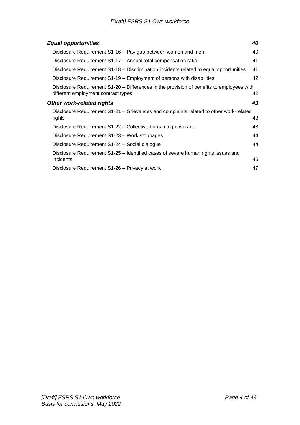| <b>Equal opportunities</b>                                                                                                       | 40 |
|----------------------------------------------------------------------------------------------------------------------------------|----|
| Disclosure Requirement S1-16 - Pay gap between women and men                                                                     | 40 |
| Disclosure Requirement S1-17 - Annual total compensation ratio                                                                   | 41 |
| Disclosure Requirement S1-18 – Discrimination incidents related to equal opportunities                                           | 41 |
| Disclosure Requirement S1-19 – Employment of persons with disabilities                                                           | 42 |
| Disclosure Requirement S1-20 – Differences in the provision of benefits to employees with<br>different employment contract types | 42 |
| <b>Other work-related rights</b>                                                                                                 | 43 |
| Disclosure Requirement S1-21 - Grievances and complaints related to other work-related<br>rights                                 | 43 |
| Disclosure Requirement S1-22 – Collective bargaining coverage                                                                    | 43 |
| Disclosure Requirement S1-23 - Work stoppages                                                                                    | 44 |
| Disclosure Requirement S1-24 - Social dialogue                                                                                   | 44 |
| Disclosure Requirement S1-25 - Identified cases of severe human rights issues and                                                |    |
| incidents                                                                                                                        | 45 |
| Disclosure Requirement S1-26 – Privacy at work                                                                                   | 47 |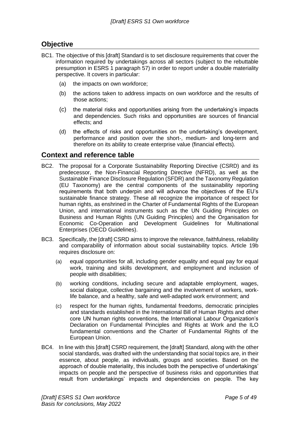## <span id="page-4-0"></span>**Objective**

- BC1. The objective of this [draft] Standard is to set disclosure requirements that cover the information required by undertakings across all sectors (subject to the rebuttable presumption in ESRS 1 paragraph 57) in order to report under a double materiality perspective. It covers in particular:
	- (a) the impacts on own workforce;
	- (b) the actions taken to address impacts on own workforce and the results of those actions;
	- (c) the material risks and opportunities arising from the undertaking's impacts and dependencies. Such risks and opportunities are sources of financial effects; and
	- (d) the effects of risks and opportunities on the undertaking's development, performance and position over the short-, medium- and long-term and therefore on its ability to create enterprise value (financial effects).

## <span id="page-4-1"></span>**Context and reference table**

- BC2. The proposal for a Corporate Sustainability Reporting Directive (CSRD) and its predecessor, the Non-Financial Reporting Directive (NFRD), as well as the Sustainable Finance Disclosure Regulation (SFDR) and the Taxonomy Regulation (EU Taxonomy) are the central components of the sustainability reporting requirements that both underpin and will advance the objectives of the EU's sustainable finance strategy. These all recognize the importance of respect for human rights, as enshrined in the Charter of Fundamental Rights of the European Union, and international instruments such as the UN Guiding Principles on Business and Human Rights (UN Guiding Principles) and the Organisation for Economic Co-Operation and Development Guidelines for Multinational Enterprises (OECD Guidelines).
- BC3. Specifically, the [draft] CSRD aims to improve the relevance, faithfulness, reliability and comparability of information about social sustainability topics. Article 19b requires disclosure on:
	- (a) equal opportunities for all, including gender equality and equal pay for equal work, training and skills development, and employment and inclusion of people with disabilities;
	- (b) working conditions, including secure and adaptable employment, wages, social dialogue, collective bargaining and the involvement of workers, worklife balance, and a healthy, safe and well-adapted work environment; and
	- (c) respect for the human rights, fundamental freedoms, democratic principles and standards established in the International Bill of Human Rights and other core UN human rights conventions, the International Labour Organization's Declaration on Fundamental Principles and Rights at Work and the ILO fundamental conventions and the Charter of Fundamental Rights of the European Union.
- BC4. In line with this [draft] CSRD requirement, the [draft] Standard, along with the other social standards, was drafted with the understanding that social topics are, in their essence, about people, as individuals, groups and societies. Based on the approach of double materiality, this includes both the perspective of undertakings' impacts on people and the perspective of business risks and opportunities that result from undertakings' impacts and dependencies on people. The key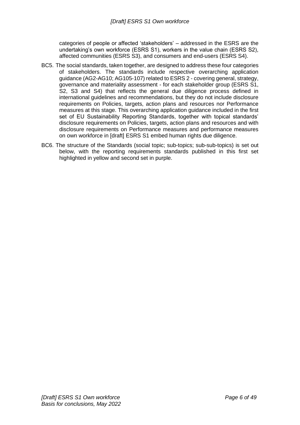categories of people or affected 'stakeholders' – addressed in the ESRS are the undertaking's own workforce (ESRS S1), workers in the value chain (ESRS S2), affected communities (ESRS S3), and consumers and end-users (ESRS S4).

- BC5. The social standards, taken together, are designed to address these four categories of stakeholders. The standards include respective overarching application guidance (AG2-AG10; AG105-107) related to ESRS 2 - covering general, strategy, governance and materiality assessment - for each stakeholder group (ESRS S1, S2, S3 and S4) that reflects the general due diligence process defined in international guidelines and recommendations, but they do not include disclosure requirements on Policies, targets, action plans and resources nor Performance measures at this stage. This overarching application guidance included in the first set of EU Sustainability Reporting Standards, together with topical standards' disclosure requirements on Policies, targets, action plans and resources and with disclosure requirements on Performance measures and performance measures on own workforce in [draft] ESRS S1 embed human rights due diligence.
- BC6. The structure of the Standards (social topic; sub-topics; sub-sub-topics) is set out below, with the reporting requirements standards published in this first set highlighted in yellow and second set in purple.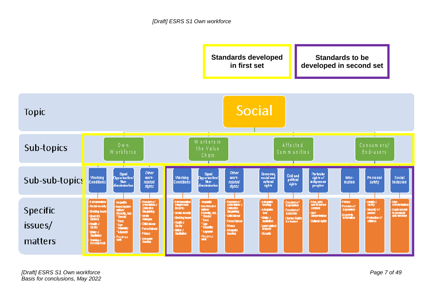

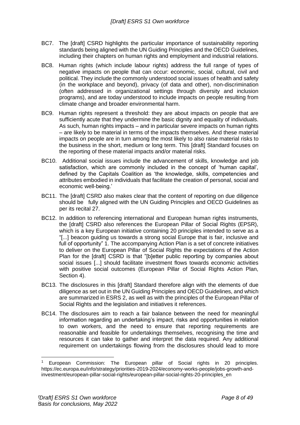- BC7. The [draft] CSRD highlights the particular importance of sustainability reporting standards being aligned with the UN Guiding Principles and the OECD Guidelines, including their chapters on human rights and employment and industrial relations.
- BC8. Human rights (which include labour rights) address the full range of types of negative impacts on people that can occur: economic, social, cultural, civil and political. They include the commonly understood social issues of health and safety (in the workplace and beyond), privacy (of data and other), non-discrimination (often addressed in organizational settings through diversity and inclusion programs), and are today understood to include impacts on people resulting from climate change and broader environmental harm.
- BC9. Human rights represent a threshold: they are about impacts on people that are sufficiently acute that they undermine the basic dignity and equality of individuals. As such, human rights impacts – and in particular severe impacts on human rights – are likely to be material in terms of the impacts themselves. And these material impacts on people are in turn among the most likely to also raise material risks to the business in the short, medium or long term. This [draft] Standard focuses on the reporting of these material impacts and/or material risks.
- BC10. Additional social issues include the advancement of skills, knowledge and job satisfaction, which are commonly included in the concept of 'human capital', defined by the Capitals Coalition as 'the knowledge, skills, competencies and attributes embodied in individuals that facilitate the creation of personal, social and economic well-being.'
- BC11. The [draft] CSRD also makes clear that the content of reporting on due diligence should be fully aligned with the UN Guiding Principles and OECD Guidelines as per its recital 27.
- BC12. In addition to referencing international and European human rights instruments, the [draft] CSRD also references the European Pillar of Social Rights (EPSR), which is a key European initiative containing 20 principles intended to serve as a "[...] beacon guiding us towards a strong social Europe that is fair, inclusive and full of opportunity" 1. The accompanying Action Plan is a set of concrete initiatives to deliver on the European Pillar of Social Rights the expectations of the Action Plan for the [draft] CSRD is that "[b]etter public reporting by companies about social issues [...] should facilitate investment flows towards economic activities with positive social outcomes (European Pillar of Social Rights Action Plan, Section 4).
- BC13. The disclosures in this [draft] Standard therefore align with the elements of due diligence as set out in the UN Guiding Principles and OECD Guidelines, and which are summarized in ESRS 2, as well as with the principles of the European Pillar of Social Rights and the legislation and initiatives it references.
- BC14. The disclosures aim to reach a fair balance between the need for meaningful information regarding an undertaking's impact, risks and opportunities in relation to own workers, and the need to ensure that reporting requirements are reasonable and feasible for undertakings themselves, recognising the time and resources it can take to gather and interpret the data required. Any additional requirement on undertakings flowing from the disclosures should lead to more

European Commission: The European pillar of Social rights in 20 principles. https://ec.europa.eu/info/strategy/priorities-2019-2024/economy-works-people/jobs-growth-andinvestment/european-pillar-social-rights/european-pillar-social-rights-20-principles\_en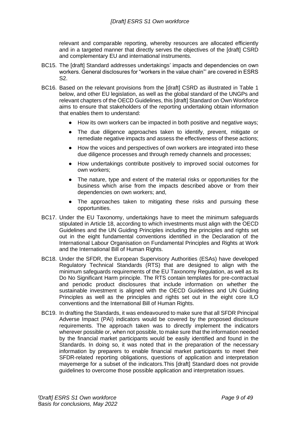relevant and comparable reporting, whereby resources are allocated efficiently and in a targeted manner that directly serves the objectives of the [draft] CSRD and complementary EU and international instruments.

- BC15. The [draft] Standard addresses undertakings' impacts and dependencies on own workers. General disclosures for "workers in the value chain"' are covered in ESRS S2.
- BC16. Based on the relevant provisions from the [draft] CSRD as illustrated in Table 1 below, and other EU legislation, as well as the global standard of the UNGPs and relevant chapters of the OECD Guidelines, this [draft] Standard on Own Workforce aims to ensure that stakeholders of the reporting undertaking obtain information that enables them to understand:
	- How its own workers can be impacted in both positive and negative ways;
	- The due diligence approaches taken to identify, prevent, mitigate or remediate negative impacts and assess the effectiveness of these actions;
	- How the voices and perspectives of own workers are integrated into these due diligence processes and through remedy channels and processes;
	- How undertakings contribute positively to improved social outcomes for own workers;
	- The nature, type and extent of the material risks or opportunities for the business which arise from the impacts described above or from their dependencies on own workers; and,
	- The approaches taken to mitigating these risks and pursuing these opportunities.
- BC17. Under the EU Taxonomy, undertakings have to meet the minimum safeguards stipulated in Article 18, according to which investments must align with the OECD Guidelines and the UN Guiding Principles including the principles and rights set out in the eight fundamental conventions identified in the Declaration of the International Labour Organisation on Fundamental Principles and Rights at Work and the International Bill of Human Rights.
- BC18. Under the SFDR, the European Supervisory Authorities (ESAs) have developed Regulatory Technical Standards (RTS) that are designed to align with the minimum safeguards requirements of the EU Taxonomy Regulation, as well as its Do No Significant Harm principle. The RTS contain templates for pre-contractual and periodic product disclosures that include information on whether the sustainable investment is aligned with the OECD Guidelines and UN Guiding Principles as well as the principles and rights set out in the eight core ILO conventions and the International Bill of Human Rights.
- BC19. In drafting the Standards, it was endeavoured to make sure that all SFDR Principal Adverse Impact (PAI) indicators would be covered by the proposed disclosure requirements. The approach taken was to directly implement the indicators wherever possible or, when not possible, to make sure that the information needed by the financial market participants would be easily identified and found in the Standards. In doing so, it was noted that in the preparation of the necessary information by preparers to enable financial market participants to meet their SFDR-related reporting obligations, questions of application and interpretation mayemerge for a subset of the indicators.This [draft] Standard does not provide guidelines to overcome those possible application and interpretation issues.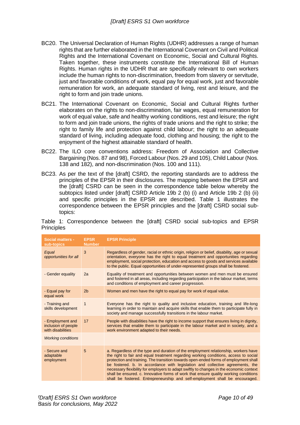- BC20. The Universal Declaration of Human Rights (UDHR) addresses a range of human rights that are further elaborated in the International Covenant on Civil and Political Rights and the International Covenant on Economic, Social and Cultural Rights. Taken together, these instruments constitute the International Bill of Human Rights. Human rights in the UDHR that are specifically relevant to own workers include the human rights to non-discrimination, freedom from slavery or servitude, just and favorable conditions of work, equal pay for equal work, just and favorable remuneration for work, an adequate standard of living, rest and leisure, and the right to form and join trade unions.
- BC21. The International Covenant on Economic, Social and Cultural Rights further elaborates on the rights to non-discrimination, fair wages, equal remuneration for work of equal value, safe and healthy working conditions, rest and leisure; the right to form and join trade unions, the rights of trade unions and the right to strike; the right to family life and protection against child labour; the right to an adequate standard of living, including adequate food, clothing and housing; the right to the enjoyment of the highest attainable standard of health.
- BC22. The ILO core conventions address: Freedom of Association and Collective Bargaining (Nos. 87 and 98), Forced Labour (Nos. 29 and 105), Child Labour (Nos. 138 and 182), and non-discrimination (Nos. 100 and 111).
- BC23. As per the text of the [draft] CSRD, the reporting standards are to address the principles of the EPSR in their disclosures. The mapping between the EPSR and the [draft] CSRD can be seen in the correspondence table below whereby the subtopics listed under [draft] CSRD Article 19b 2 (b) (i) and Article 19b 2 (b) (ii) and specific principles in the EPSR are described. Table 1 illustrates the correspondence between the EPSR principles and the [draft] CSRD social subtopics:

|                   | Table 1: Correspondence between the [draft] CSRD social sub-topics and EPSR |  |  |  |  |
|-------------------|-----------------------------------------------------------------------------|--|--|--|--|
| <b>Principles</b> |                                                                             |  |  |  |  |

| <b>Social matters -</b><br>sub-topics                        | <b>EPSR</b><br><b>Number</b> | <b>EPSR Principle</b>                                                                                                                                                                                                                                                                                                                                                                                                                                                                                                                                                                                                   |
|--------------------------------------------------------------|------------------------------|-------------------------------------------------------------------------------------------------------------------------------------------------------------------------------------------------------------------------------------------------------------------------------------------------------------------------------------------------------------------------------------------------------------------------------------------------------------------------------------------------------------------------------------------------------------------------------------------------------------------------|
| Equal<br>opportunities for all                               | 3                            | Regardless of gender, racial or ethnic origin, religion or belief, disability, age or sexual<br>orientation, everyone has the right to equal treatment and opportunities regarding<br>employment, social protection, education and access to goods and services available<br>to the public. Equal opportunities of under-represented groups shall be fostered.                                                                                                                                                                                                                                                          |
| - Gender equality                                            | 2a                           | Equality of treatment and opportunities between women and men must be ensured<br>and fostered in all areas, including regarding participation in the labour market, terms<br>and conditions of employment and career progression.                                                                                                                                                                                                                                                                                                                                                                                       |
| - Equal pay for<br>equal work                                | 2 <sub>b</sub>               | Women and men have the right to equal pay for work of equal value.                                                                                                                                                                                                                                                                                                                                                                                                                                                                                                                                                      |
| - Training and<br>skills development                         | $\mathbf 1$                  | Everyone has the right to quality and inclusive education, training and life-long<br>learning in order to maintain and acquire skills that enable them to participate fully in<br>society and manage successfully transitions in the labour market.                                                                                                                                                                                                                                                                                                                                                                     |
| - Employment and<br>inclusion of people<br>with disabilities | 17                           | People with disabilities have the right to income support that ensures living in dignity,<br>services that enable them to participate in the labour market and in society, and a<br>work environment adapted to their needs.                                                                                                                                                                                                                                                                                                                                                                                            |
| <b>Working conditions</b>                                    |                              |                                                                                                                                                                                                                                                                                                                                                                                                                                                                                                                                                                                                                         |
| - Secure and<br>adaptable<br>employment                      | 5                            | a. Regardless of the type and duration of the employment relationship, workers have<br>the right to fair and equal treatment regarding working conditions, access to social<br>protection and training. The transition towards open-ended forms of employment shall<br>be fostered. b. In accordance with legislation and collective agreements, the<br>necessary flexibility for employers to adapt swiftly to changes in the economic context<br>shall be ensured. c. Innovative forms of work that ensure quality working conditions<br>shall be fostered. Entrepreneurship and self-employment shall be encouraged. |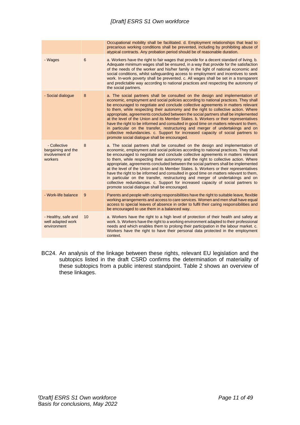|                                                                 |    | Occupational mobility shall be facilitated, d. Employment relationships that lead to<br>precarious working conditions shall be prevented, including by prohibiting abuse of<br>atypical contracts. Any probation period should be of reasonable duration.                                                                                                                                                                                                                                                                                                                                                                                                                                                                                                                                                                                     |
|-----------------------------------------------------------------|----|-----------------------------------------------------------------------------------------------------------------------------------------------------------------------------------------------------------------------------------------------------------------------------------------------------------------------------------------------------------------------------------------------------------------------------------------------------------------------------------------------------------------------------------------------------------------------------------------------------------------------------------------------------------------------------------------------------------------------------------------------------------------------------------------------------------------------------------------------|
| - Wages                                                         | 6  | a. Workers have the right to fair wages that provide for a decent standard of living. b.<br>Adequate minimum wages shall be ensured, in a way that provide for the satisfaction<br>of the needs of the worker and his/her family in the light of national economic and<br>social conditions, whilst safeguarding access to employment and incentives to seek<br>work. In-work poverty shall be prevented. c. All wages shall be set in a transparent<br>and predictable way according to national practices and respecting the autonomy of<br>the social partners.                                                                                                                                                                                                                                                                            |
| - Social dialogue                                               | 8  | a. The social partners shall be consulted on the design and implementation of<br>economic, employment and social policies according to national practices. They shall<br>be encouraged to negotiate and conclude collective agreements in matters relevant<br>to them, while respecting their autonomy and the right to collective action. Where<br>appropriate, agreements concluded between the social partners shall be implemented<br>at the level of the Union and its Member States. b. Workers or their representatives<br>have the right to be informed and consulted in good time on matters relevant to them,<br>in particular on the transfer, restructuring and merger of undertakings and on<br>collective redundancies. c. Support for increased capacity of social partners to<br>promote social dialogue shall be encouraged. |
| - Collective<br>bargaining and the<br>involvement of<br>workers | 8  | a. The social partners shall be consulted on the design and implementation of<br>economic, employment and social policies according to national practices. They shall<br>be encouraged to negotiate and conclude collective agreements in matters relevant<br>to them, while respecting their autonomy and the right to collective action. Where<br>appropriate, agreements concluded between the social partners shall be implemented<br>at the level of the Union and its Member States. b. Workers or their representatives<br>have the right to be informed and consulted in good time on matters relevant to them,<br>in particular on the transfer, restructuring and merger of undertakings and on<br>collective redundancies. c. Support for increased capacity of social partners to<br>promote social dialogue shall be encouraged. |
| - Work-life balance                                             | 9  | Parents and people with caring responsibilities have the right to suitable leave, flexible<br>working arrangements and access to care services. Women and men shall have equal<br>access to special leaves of absence in order to fulfil their caring responsibilities and<br>be encouraged to use them in a balanced way.                                                                                                                                                                                                                                                                                                                                                                                                                                                                                                                    |
| - Healthy, safe and<br>well adapted work<br>environment         | 10 | a. Workers have the right to a high level of protection of their health and safety at<br>work. b. Workers have the right to a working environment adapted to their professional<br>needs and which enables them to prolong their participation in the labour market. c.<br>Workers have the right to have their personal data protected in the employment<br>context.                                                                                                                                                                                                                                                                                                                                                                                                                                                                         |

BC24. An analysis of the linkage between these rights, relevant EU legislation and the subtopics listed in the draft CSRD confirms the determination of materiality of these subtopics from a public interest standpoint. Table 2 shows an overview of these linkages.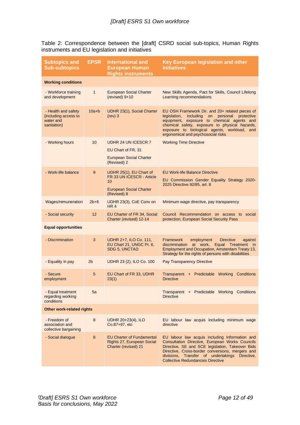|  | Table 2: Correspondence between the [draft] CSRD social sub-topics, Human Rights |  |  |  |  |
|--|----------------------------------------------------------------------------------|--|--|--|--|
|  | instruments and EU legislation and initiatives                                   |  |  |  |  |

| <b>Subtopics and</b><br><b>Sub-subtopics</b>                            | <b>EPSR</b>     | <b>International and</b><br><b>European Human</b><br><b>Rights instruments</b>                              | Key European legislation and other<br><b>initiatives</b>                                                                                                                                                                                                                                                |
|-------------------------------------------------------------------------|-----------------|-------------------------------------------------------------------------------------------------------------|---------------------------------------------------------------------------------------------------------------------------------------------------------------------------------------------------------------------------------------------------------------------------------------------------------|
| <b>Working conditions</b>                                               |                 |                                                                                                             |                                                                                                                                                                                                                                                                                                         |
| - Workforce training<br>and development                                 | $\mathbf{1}$    | <b>European Social Charter</b><br>$(revised)$ 9+10                                                          | New Skills Agenda, Pact for Skills, Council Lifelong<br>Learning recommendations                                                                                                                                                                                                                        |
| - Health and safety<br>(including access to<br>water and<br>sanitation) | $10a+b$         | UDHR 23(1), Social Charter<br>$(rev)$ 3                                                                     | EU OSH Framework Dir. and 20+ related pieces of<br>including on<br>personal<br>protective<br>legislation,<br>equipment, exposure to chemical agents and<br>chemical safety, exposure to physical hazards,<br>exposure to biological agents, workload, and<br>ergonomical and psychosocial risks         |
| - Working hours                                                         | 10              | UDHR 24 UN ICESCR 7<br>EU Chart of FR, 31<br><b>European Social Charter</b><br>(Revised) 2                  | <b>Working Time Directive</b>                                                                                                                                                                                                                                                                           |
| - Work-life balance                                                     | 9               | UDHR 25(1), EU Chart of<br>FR 33 UN ICESCR - Article<br>10<br><b>European Social Charter</b><br>(Revised) 8 | <b>EU Work-life Balance Directive</b><br>EU Commission Gender Equality Strategy 2020-<br>2025 Directive 92/85, art. 8                                                                                                                                                                                   |
| Wages/remuneration                                                      | $2b+6$          | UDHR 23(3), CoE Conv on<br>HR <sub>4</sub>                                                                  | Minimum wage directive, pay transparency                                                                                                                                                                                                                                                                |
| - Social security                                                       | 12 <sup>2</sup> | EU Charter of FR 34, Social<br>Charter (revised) 12-14                                                      | Council Recommendation on access to social<br>protection, European Social Security Pass                                                                                                                                                                                                                 |
| <b>Equal opportunities</b>                                              |                 |                                                                                                             |                                                                                                                                                                                                                                                                                                         |
| - Discrimination                                                        | 3               | UDHR 2+7, ILO Co. 111,<br>EU Chart 21, UNGC Pr. 6,<br>SDG 5, UNCTAD                                         | <b>Framework</b><br>employment<br><b>Directive</b><br>against<br>discrimination<br>at work,<br>Equal Treatment in<br>Employment and Occupation, Amsterdam Treaty 13,<br>Strategy for the rights of persons with disabilities                                                                            |
| - Equality in pay                                                       | 2 <sub>b</sub>  | UDHR 23 (2), ILO Co. 100                                                                                    | Pay Transparency Directive                                                                                                                                                                                                                                                                              |
| - Secure<br>employment                                                  | 5               | EU Chart of FR 33, UDHR<br>23(1)                                                                            | Transparent + Predictable Working Conditions<br><b>Directive</b>                                                                                                                                                                                                                                        |
| - Equal treatment<br>regarding working<br>conditions                    | 5a              |                                                                                                             | Transparent + Predictable Working Conditions<br><b>Directive</b>                                                                                                                                                                                                                                        |
| <b>Other work-related rights</b>                                        |                 |                                                                                                             |                                                                                                                                                                                                                                                                                                         |
| - Freedom of<br>association and<br>collective bargaining                | 8               | UDHR 20+23(4), ILO<br>Co.87+97, etc                                                                         | EU labour law acquis including minimum wage<br>directive                                                                                                                                                                                                                                                |
| - Social dialogue                                                       | 8               | <b>EU Charter of Fundamental</b><br>Rights 27, European Social<br>Charter (revised) 21                      | EU labour law acquis including Information and<br>Consultation Directive, European Works Councils<br>Directive, SE and SCE legislation, Takeover Bids<br>Directive, Cross-border conversions, mergers and<br>divisions, Transfer of undertakings Directive,<br><b>Collective Redundancies Directive</b> |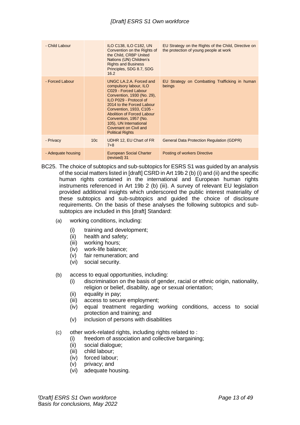| - Child Labour     |                 | <b>ILO C138, ILO C182, UN</b><br>Convention on the Rights of<br>the Child, CRBP United<br>Nations (UN) Children's<br><b>Rights and Business</b><br>Principles, SDG 8.7, SDG<br>16.2                                                                                                                                             | EU Strategy on the Rights of the Child, Directive on<br>the protection of young people at work |
|--------------------|-----------------|---------------------------------------------------------------------------------------------------------------------------------------------------------------------------------------------------------------------------------------------------------------------------------------------------------------------------------|------------------------------------------------------------------------------------------------|
| - Forced Labour    |                 | UNGC LA.2.A. Forced and<br>compulsory labour, ILO<br>C029 - Forced Labour<br>Convention, 1930 (No. 29),<br>ILO P029 - Protocol of<br>2014 to the Forced Labour<br>Convention, 1933, C105 -<br>Abolition of Forced Labour<br>Convention, 1957 (No.<br>105), UN International<br>Covenant on Civil and<br><b>Political Rights</b> | EU Strategy on Combatting Trafficking in human<br>beings                                       |
| - Privacy          | 10 <sub>c</sub> | UDHR 12, EU Chart of FR<br>$7 + 8$                                                                                                                                                                                                                                                                                              | <b>General Data Protection Regulation (GDPR)</b>                                               |
| - Adequate housing |                 | European Social Charter<br>(revised) 31                                                                                                                                                                                                                                                                                         | Posting of workers Directive                                                                   |

- BC25. The choice of subtopics and sub-subtopics for ESRS S1 was guided by an analysis of the social matters listed in [draft] CSRD in Art 19b 2 (b) (i) and (ii) and the specific human rights contained in the international and European human rights instruments referenced in Art 19b 2 (b) (iii). A survey of relevant EU legislation provided additional insights which underscored the public interest materiality of these subtopics and sub-subtopics and guided the choice of disclosure requirements. On the basis of these analyses the following subtopics and subsubtopics are included in this [draft] Standard:
	- (a) working conditions, including:
		- (i) training and development;
		- (ii) health and safety;
		- (iii) working hours;
		- (iv) work-life balance;
		- (v) fair remuneration; and
		- (vi) social security.
	- (b) access to equal opportunities, including:
		- (i) discrimination on the basis of gender, racial or ethnic origin, nationality, religion or belief, disability, age or sexual orientation;
		- (ii) equality in pay;
		- (iii) access to secure employment;
		- (iv) equal treatment regarding working conditions, access to social protection and training; and
		- (v) inclusion of persons with disabilities
	- (c) other work-related rights, including rights related to :
		- (i) freedom of association and collective bargaining;
		- (ii) social dialogue;
		- (iii) child labour;
		- (iv) forced labour;
		- (v) privacy; and
		- (vi) adequate housing.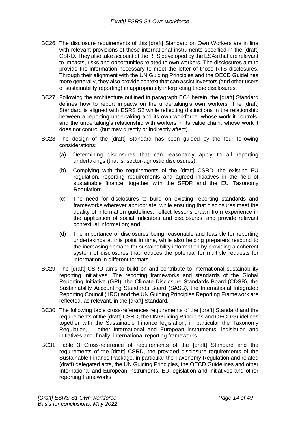- BC26. The disclosure requirements of this [draft] Standard on Own Workers are in line with relevant provisions of these international instruments specified in the [draft] CSRD. They also take account of the RTS developed by the ESAs that are relevant to impacts, risks and opportunities related to own workers. The disclosures aim to provide the information necessary to meet the letter of those RTS disclosures. Through their alignment with the UN Guiding Principles and the OECD Guidelines more generally, they also provide context that can assist investors (and other users of sustainability reporting) in appropriately interpreting those disclosures.
- BC27. Following the architecture outlined in paragraph BC4 herein, the [draft] Standard defines how to report impacts on the undertaking's own workers. The [draft] Standard is aligned with ESRS S2 while reflecting distinctions in the relationship between a reporting undertaking and its own workforce, whose work it controls, and the undertaking's relationship with workers in its value chain, whose work it does not control (but may directly or indirectly affect).
- BC28. The design of the [draft] Standard has been guided by the four following considerations:
	- (a) Determining disclosures that can reasonably apply to all reporting undertakings (that is, sector-agnostic disclosures);
	- (b) Complying with the requirements of the [draft] CSRD, the existing EU regulation, reporting requirements and agreed initiatives in the field of sustainable finance, together with the SFDR and the EU Taxonomy Regulation;
	- (c) The need for disclosures to build on existing reporting standards and frameworks wherever appropriate, while ensuring that disclosures meet the quality of information guidelines, reflect lessons drawn from experience in the application of social indicators and disclosures, and provide relevant contextual information; and,
	- (d) The importance of disclosures being reasonable and feasible for reporting undertakings at this point in time, while also helping preparers respond to the increasing demand for sustainability information by providing a coherent system of disclosures that reduces the potential for multiple requests for information in different formats.
- BC29. The [draft] CSRD aims to build on and contribute to international sustainability reporting initiatives. The reporting frameworks and standards of the Global Reporting Initiative (GRI), the Climate Disclosure Standards Board (CDSB), the Sustainability Accounting Standards Board (SASB), the International Integrated Reporting Council (IIRC) and the UN Guiding Principles Reporting Framework are reflected, as relevant, in the [draft] Standard.
- BC30. The following table cross-references requirements of the [draft] Standard and the requirements of the [draft] CSRD, the UN Guiding Principles and OECD Guidelines together with the Sustainable Finance legislation, in particular the Taxonomy Regulation, other International and European instruments, legislation and initiatives and, finally, international reporting frameworks.
- BC31. Table 3 Cross-reference of requirements of the [draft] Standard and the requirements of the [draft] CSRD, the provided disclosure requirements of the Sustainable Finance Package, in particular the Taxonomy Regulation and related (draft) delegated acts, the UN Guiding Principles, the OECD Guidelines and other International and European instruments, EU legislation and initiatives and other reporting frameworks.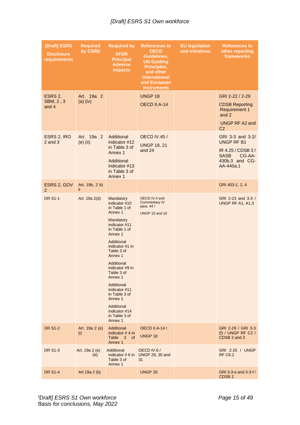| [Draft] ESRS<br><b>Disclosure</b><br>requirements | <b>Required</b><br>by CSRD | <b>Required by</b><br><b>SFDR</b><br><b>Principal</b><br><b>Adverse</b><br><i>impacts</i>                                                                                                                                                                                                                                                                  | <b>References to</b><br><b>OECD</b><br>Guidelines,<br><b>UN Guiding</b><br>Principles,<br>and other<br><b>International</b><br>and European<br><b>instruments</b> | <b>EU legislation</b><br>and initiatives | <b>References to</b><br>other reporting<br>frameworks                                                               |
|---------------------------------------------------|----------------------------|------------------------------------------------------------------------------------------------------------------------------------------------------------------------------------------------------------------------------------------------------------------------------------------------------------------------------------------------------------|-------------------------------------------------------------------------------------------------------------------------------------------------------------------|------------------------------------------|---------------------------------------------------------------------------------------------------------------------|
| ESRS 2,<br>SBM, 2, 3<br>and 4                     | Art. 19a 2<br>$(a)$ (iv)   |                                                                                                                                                                                                                                                                                                                                                            | <b>UNGP 18</b><br>OECD II.A-14                                                                                                                                    |                                          | GRI 2-22 / 2-29<br><b>CDSB Reporting</b><br><b>Requirement 1</b><br>and 2<br>UNGP RF A2 and<br>C <sub>2</sub>       |
| ESRS 2, IRO<br>$2$ and $3$                        | Art. 19a 2<br>$(e)$ (ii)   | Additional<br>indicator #12<br>in Table 3 of<br>Annex 1<br>Additional<br>indicator #13<br>in Table 3 of<br>Annex <sub>1</sub>                                                                                                                                                                                                                              | <b>OECD IV.45 /</b><br><b>UNGP 18, 21</b><br>and 24                                                                                                               |                                          | GRI 3-3 and 3-2/<br><b>UNGP RF B1</b><br>IR 4.25 / CDSB 3 /<br><b>SASB</b><br>CG-AA-<br>430b.3 and CG-<br>AA-440a.1 |
| ESRS 2, GOV<br>$\overline{2}$                     | Art. 19b, 2 b)<br>ΪÎ.      |                                                                                                                                                                                                                                                                                                                                                            |                                                                                                                                                                   |                                          | GRI 403-1, 2, 4                                                                                                     |
| <b>DR S1-1</b>                                    | Art. 19a 2(d)              | Mandatory<br>indicator #10<br>in Table 1 of<br>Annex 1<br>Mandatory<br>indicator #11<br>in Table 1 of<br>Annex 1<br>Additional<br>indicator #1 in<br>Table 3 of<br>Annex 1<br>Additional<br>indicator #9 in<br>Table 3 of<br>Annex 1<br>Additional<br>indicator #11<br>in Table 3 of<br>Annex 1<br>Additional<br>indicator #14<br>in Table 3 of<br>Annex 1 | OECD IV.4 and<br><b>Commentary IV</b><br>para. 44 /<br><b>UNGP 15 and 16</b>                                                                                      |                                          | GRI 2-23 and 3-3 /<br>UNGP RF A1, A1.3                                                                              |
| <b>DR S1-2</b>                                    | Art. 19a 2 (e)<br>(i)      | Additional<br>indicator $# 4$ in<br>Table 3 of<br>Annex 1                                                                                                                                                                                                                                                                                                  | <b>OECD II.A-14 /</b><br>UNGP 18                                                                                                                                  |                                          | GRI 2-29 / GRI 3-3<br>(f) / UNGP RF C2 /<br>CDSB 2 and 3                                                            |
| <b>DR S1-3</b>                                    | Art. 19a 2 (e)<br>(iii)    | Additional<br>indicator $# 6$ in<br>Table 3 of<br>Annex 1                                                                                                                                                                                                                                                                                                  | OECD IV.6 /<br><b>UNGP 29, 30 and</b><br>31                                                                                                                       |                                          | GRI 2-25 / UNGP<br><b>RF C6.2</b>                                                                                   |
| <b>DR S1-4</b>                                    | Art $19a 2(b)$             |                                                                                                                                                                                                                                                                                                                                                            | <b>UNGP 20</b>                                                                                                                                                    |                                          | GRI 3-3-e and $3-3-f/$<br>CDSB <sub>2</sub>                                                                         |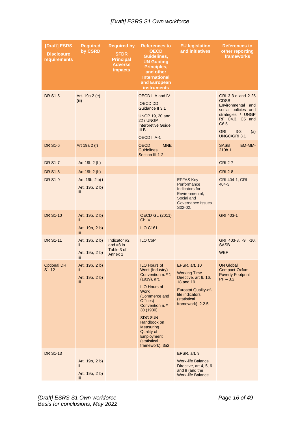| [Draft] ESRS<br><b>Disclosure</b><br>requirements | <b>Required</b><br>by CSRD                      | <b>Required by</b><br><b>SFDR</b><br><b>Principal</b><br><b>Adverse</b><br><b>impacts</b> | <b>References to</b><br><b>OECD</b><br>Guidelines,<br><b>UN Guiding</b><br>Principles,<br>and other<br><b>International</b><br>and European<br><b>instruments</b>                                                                                                                           | <b>EU legislation</b><br>and initiatives                                                                                                                          | <b>References to</b><br>other reporting<br>frameworks                                                                                                                            |
|---------------------------------------------------|-------------------------------------------------|-------------------------------------------------------------------------------------------|---------------------------------------------------------------------------------------------------------------------------------------------------------------------------------------------------------------------------------------------------------------------------------------------|-------------------------------------------------------------------------------------------------------------------------------------------------------------------|----------------------------------------------------------------------------------------------------------------------------------------------------------------------------------|
| <b>DR S1-5</b>                                    | Art. 19a 2 (e)<br>(iii)                         |                                                                                           | OECD II.A and IV<br>OECD DD<br>Guidance II 3.1<br><b>UNGP 19, 20 and</b><br><b>22 / UNGP</b><br><b>Interpretive Guide</b><br>III <sub>B</sub><br>OECD II.A-1                                                                                                                                |                                                                                                                                                                   | GRI 3-3-d and 2-25<br><b>CDSB</b><br>Environmental<br>and<br>social policies and<br>strategies / UNGP<br>RF C4.3, C5 and<br>C6.5<br><b>GRI</b><br>$3 - 3$<br>(a)<br>UNGC/GRI 3.1 |
| <b>DR S1-6</b>                                    | Art 19a 2 (f)                                   |                                                                                           | <b>OECD</b><br><b>MNE</b><br><b>Guidelines</b><br>Section III.1-2                                                                                                                                                                                                                           |                                                                                                                                                                   | <b>SASB</b><br>EM-MM-<br>210b.1                                                                                                                                                  |
| <b>DR S1-7</b>                                    | Art 19b 2 (b)                                   |                                                                                           |                                                                                                                                                                                                                                                                                             |                                                                                                                                                                   | <b>GRI 2-7</b>                                                                                                                                                                   |
| <b>DR S1-8</b>                                    | Art $19b 2(b)$                                  |                                                                                           |                                                                                                                                                                                                                                                                                             |                                                                                                                                                                   | <b>GRI 2-8</b>                                                                                                                                                                   |
| <b>DR S1-9</b>                                    | Art. 19b, 2 b) i<br>Art. 19b, 2 b)<br>iii.      |                                                                                           |                                                                                                                                                                                                                                                                                             | <b>EFFAS Key</b><br>Performance<br>Indicators for<br>Environmental,<br>Social and<br>Governance Issues<br>S02-02.                                                 | GRI 404-1; GRI<br>$404 - 3$                                                                                                                                                      |
| <b>DR S1-10</b>                                   | Art. 19b, 2 b)<br>ii.<br>Art. 19b, 2 b)<br>ΪÏİ  |                                                                                           | <b>OECD GL (2011)</b><br>Ch. V<br><b>ILO C161</b>                                                                                                                                                                                                                                           |                                                                                                                                                                   | GRI 403-1                                                                                                                                                                        |
| <b>DR S1-11</b>                                   | Art. 19b, 2 b)<br>ii.<br>Art. 19b, 2 b)<br>iii. | Indicator #2<br>and $#3$ in<br>Table 3 of<br>Annex 1                                      | <b>ILO CoP</b>                                                                                                                                                                                                                                                                              |                                                                                                                                                                   | GRI 403-8, -9, -10,<br><b>SASB</b><br><b>WEF</b>                                                                                                                                 |
| <b>Optional DR</b><br>S1-12                       | Art. 19b, 2 b)<br>ii.<br>Art. 19b, 2 b)<br>iii. |                                                                                           | <b>ILO Hours of</b><br>Work (Industry)<br>Convention n. º 1<br>(1919), art.<br><b>ILO Hours of</b><br><b>Work</b><br>(Commerce and<br>Offices)<br>Convention n. º<br>30 (1930)<br>SDG 8UN<br>Handbook on<br><b>Measuring</b><br>Quality of<br>Employment<br>(statistical<br>framework), 3a2 | EPSR, art. 10<br><b>Working Time</b><br>Directive, art 6, 16,<br>18 and 19<br><b>Eurostat Quality-of-</b><br>life indicators<br>(statistical<br>framework), 2.2.5 | <b>UN Global</b><br>Compact-Oxfam<br><b>Poverty Footprint</b><br>$PF - 3.2$                                                                                                      |
| <b>DR S1-13</b>                                   | Art. 19b, 2 b)<br>ii.<br>Art. 19b, 2 b)<br>iii. |                                                                                           |                                                                                                                                                                                                                                                                                             | EPSR, art. 9<br><b>Work-life Balance</b><br>Directive, art 4, 5, 6<br>and 9 (and the<br><b>Work-life Balance</b>                                                  |                                                                                                                                                                                  |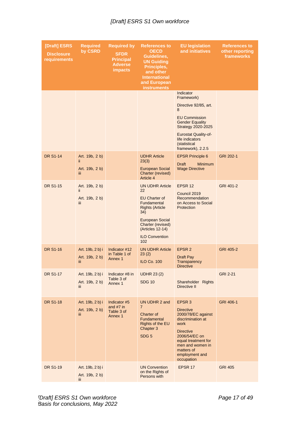| [Draft] ESRS<br><b>Disclosure</b><br>requirements | <b>Required</b><br>by CSRD                      | <b>Required by</b><br><b>SFDR</b><br><b>Principal</b><br><b>Adverse</b><br><b>impacts</b> | <b>References to</b><br><b>OECD</b><br>Guidelines,<br><b>UN Guiding</b><br>Principles,<br>and other<br><b>International</b><br>and European<br><b>instruments</b>                                | <b>EU legislation</b><br>and initiatives                                                                                                                                                                                    | <b>References to</b><br>other reporting<br>frameworks |
|---------------------------------------------------|-------------------------------------------------|-------------------------------------------------------------------------------------------|--------------------------------------------------------------------------------------------------------------------------------------------------------------------------------------------------|-----------------------------------------------------------------------------------------------------------------------------------------------------------------------------------------------------------------------------|-------------------------------------------------------|
|                                                   |                                                 |                                                                                           |                                                                                                                                                                                                  | Indicator<br>Framework)<br>Directive 92/85, art.<br>8<br><b>EU Commission</b><br><b>Gender Equality</b><br><b>Strategy 2020-2025</b><br><b>Eurostat Quality-of-</b><br>life indicators<br>(statistical<br>framework), 2.2.5 |                                                       |
| <b>DR S1-14</b>                                   | Art. 19b, 2 b)<br>ii.<br>Art. 19b, 2 b)<br>iii. |                                                                                           | <b>UDHR Article</b><br>23(3)<br><b>European Social</b><br>Charter (revised)<br>Article 4                                                                                                         | <b>EPSR Principle 6</b><br><b>Minimum</b><br><b>Draft</b><br><b>Wage Directive</b>                                                                                                                                          | GRI 202-1                                             |
| <b>DR S1-15</b>                                   | Art. 19b, 2 b)<br>ii.<br>Art. 19b, 2 b)<br>iii. |                                                                                           | <b>UN UDHR Article</b><br>22<br>EU Charter of<br>Fundamental<br><b>Rights (Article</b><br>34)<br><b>European Social</b><br>Charter (revised)<br>(Articles 12-14)<br><b>ILO Convention</b><br>102 | EPSR 12<br>Council 2019<br>Recommendation<br>on Access to Social<br>Protection                                                                                                                                              | GRI 401-2                                             |
| <b>DR S1-16</b>                                   | Art. 19b, 2 b) i<br>Art. 19b, 2 b)<br>iij       | Indicator #12<br>in Table 1 of<br>Annex 1                                                 | <b>UN UDHR Article</b><br>23(2)<br><b>ILO Co. 100</b>                                                                                                                                            | EPSR <sub>2</sub><br>Draft Pay<br>Transparency<br><b>Directive</b>                                                                                                                                                          | GRI 405-2                                             |
| <b>DR S1-17</b>                                   | Art. 19b, 2 b) i<br>Art. 19b, 2 b)<br>iii.      | Indicator #8 in<br>Table 3 of<br>Annex 1                                                  | <b>UDHR 23 (2)</b><br><b>SDG 10</b>                                                                                                                                                              | Shareholder Rights<br>Directive II                                                                                                                                                                                          | <b>GRI 2-21</b>                                       |
| <b>DR S1-18</b>                                   | Art. 19b, 2 b) i<br>Art. 19b, 2 b)<br>ΪÏ        | Indicator #5<br>and $#7$ in<br>Table 3 of<br>Annex 1                                      | UN UDHR 2 and<br>$\overline{7}$<br>Charter of<br>Fundamental<br>Rights of the EU<br>Chapter 3<br>SDG <sub>5</sub>                                                                                | EPSR <sub>3</sub><br><b>Directive</b><br>2000/78/EC against<br>discrimination at<br>work<br><b>Directive</b><br>2006/54/EC on<br>equal treatment for<br>men and women in<br>matters of<br>employment and<br>occupation      | GRI 406-1                                             |
| <b>DR S1-19</b>                                   | Art. 19b, 2 b) i<br>Art. 19b, 2 b)<br>iii.      |                                                                                           | <b>UN Convention</b><br>on the Rights of<br>Persons with                                                                                                                                         | EPSR 17                                                                                                                                                                                                                     | <b>GRI 405</b>                                        |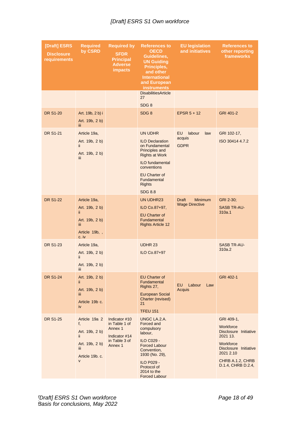| [Draft] ESRS<br><b>Disclosure</b><br>requirements | <b>Required</b><br>by CSRD                                                                                | <b>Required by</b><br><b>SFDR</b><br><b>Principal</b><br><b>Adverse</b><br><i>impacts</i> | <b>References to</b><br><b>OECD</b><br>Guidelines,<br><b>UN Guiding</b><br>Principles,<br>and other<br><b>International</b><br>and European<br><b>instruments</b>                                                 | <b>EU legislation</b><br>and initiatives                | <b>References to</b><br>other reporting<br>frameworks                                                                                                     |
|---------------------------------------------------|-----------------------------------------------------------------------------------------------------------|-------------------------------------------------------------------------------------------|-------------------------------------------------------------------------------------------------------------------------------------------------------------------------------------------------------------------|---------------------------------------------------------|-----------------------------------------------------------------------------------------------------------------------------------------------------------|
|                                                   |                                                                                                           |                                                                                           | <b>DisabilitiesArticle</b><br>27<br>SDG <sub>8</sub>                                                                                                                                                              |                                                         |                                                                                                                                                           |
| <b>DR S1-20</b>                                   | Art. 19b, 2 b) i<br>Art. 19b, 2 b)<br>iii.                                                                |                                                                                           | SDG <sub>8</sub>                                                                                                                                                                                                  | EPSR $5 + 12$                                           | GRI 401-2                                                                                                                                                 |
| <b>DR S1-21</b>                                   | Article 19a,<br>Art. 19b, 2 b)<br>ii.<br>Art. 19b, 2 b)<br>iii.                                           |                                                                                           | UN UDHR<br><b>ILO Declaration</b><br>on Fundamental<br>Principles and<br><b>Rights at Work</b><br><b>ILO fundamental</b><br>conventions<br><b>EU Charter of</b><br>Fundamental<br><b>Rights</b><br><b>SDG 8.8</b> | <b>EU</b><br>labour<br>law<br>acquis<br><b>GDPR</b>     | GRI 102-17,<br>ISO 30414 4.7.2                                                                                                                            |
| <b>DR S1-22</b>                                   | Article 19a,<br>Art. 19b, 2 b)<br>ii.<br>Art. 19b, 2 b)<br>iii.<br>Article 19b, ,<br>c. iv                |                                                                                           | UN UDHR23<br>ILO Co.87+97,<br><b>EU Charter of</b><br>Fundamental<br><b>Rights Article 12</b>                                                                                                                     | <b>Minimum</b><br><b>Draft</b><br><b>Wage Directive</b> | GRI 2-30;<br><b>SASB TR-AU-</b><br>310a.1                                                                                                                 |
| DR S1-23                                          | Article 19a,<br>Art. 19b, 2 b)<br>ii.<br>Art. 19b, 2 b)<br>Ш                                              |                                                                                           | UDHR 23<br>ILO Co.87+97                                                                                                                                                                                           |                                                         | <b>SASB TR-AU-</b><br>310a.2                                                                                                                              |
| <b>DR S1-24</b>                                   | Art. 19b, 2 b)<br>ii.<br>Art. 19b, 2 b)<br>iii.<br>Article 19b c.<br>iv                                   |                                                                                           | <b>EU Charter of</b><br>Fundamental<br>Rights 27,<br><b>European Social</b><br>Charter (revised)<br>21<br><b>TFEU 151</b>                                                                                         | EU.<br>Labour<br>Law<br>Acquis                          | GRI 402-1                                                                                                                                                 |
| <b>DR S1-25</b>                                   | Article 19a 2<br>f,<br>Art. 19b, 2 b)<br>ii.<br>Art. 19b, 2 b)<br>iii.<br>Article 19b. c.<br>$\mathsf{V}$ | Indicator #10<br>in Table 1 of<br>Annex 1<br>Indicator #14<br>in Table 3 of<br>Annex 1    | UNGC LA.2.A.<br>Forced and<br>compulsory<br>labour,<br>ILO C029 -<br><b>Forced Labour</b><br>Convention,<br>1930 (No. 29),<br><b>ILO P029 -</b><br>Protocol of<br>2014 to the<br><b>Forced Labour</b>             |                                                         | GRI 409-1,<br>Workforce<br>Disclosure Initiative<br>2021 13.<br>Workforce<br>Disclosure Initiative<br>2021 2.10<br>CHRB A.1.2, CHRB<br>D.1.4, CHRB D.2.4, |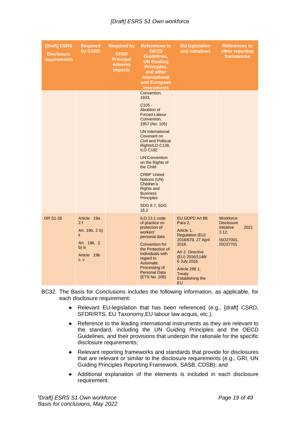| [Draft] ESRS<br><b>Disclosure</b><br>requirements | <b>Required</b><br>by CSRD                                                                 | <b>Required by</b><br><b>SFDR</b><br><b>Principal</b><br><b>Adverse</b><br><i>impacts</i> | <b>References to</b><br><b>OECD</b><br>Guidelines,<br><b>UN Guiding</b><br>Principles,<br>and other<br><b>International</b><br>and European<br><b>instruments</b>                                                                                                                                                                                                                                                         | <b>EU legislation</b><br>and initiatives                                                                                                                                                                              | <b>References to</b><br>other reporting<br>frameworks                                         |
|---------------------------------------------------|--------------------------------------------------------------------------------------------|-------------------------------------------------------------------------------------------|---------------------------------------------------------------------------------------------------------------------------------------------------------------------------------------------------------------------------------------------------------------------------------------------------------------------------------------------------------------------------------------------------------------------------|-----------------------------------------------------------------------------------------------------------------------------------------------------------------------------------------------------------------------|-----------------------------------------------------------------------------------------------|
|                                                   |                                                                                            |                                                                                           | Convention,<br>1933,<br>$C105 -$<br>Abolition of<br><b>Forced Labour</b><br>Convention,<br>1957 (No. 105)<br><b>UN International</b><br>Covenant on<br><b>Civil and Political</b><br>RightsILO C138,<br><b>ILO C182</b><br><b>UN Convention</b><br>on the Rights of<br>the Child<br><b>CRBP United</b><br>Nations (UN)<br>Children's<br>Rights and<br><b>Business</b><br><b>Principles</b><br><b>SDG 8.7, SDG</b><br>16.2 |                                                                                                                                                                                                                       |                                                                                               |
| <b>DR S1-26</b>                                   | Article 19a<br>2f<br>Art. 19b, 2 b)<br>ii.<br>Art. 19b, 2<br>b) iii<br>Article 19b<br>C. V |                                                                                           | ILO 13.1 code<br>of practice on<br>protection of<br>workers'<br>personal data<br><b>Convention for</b><br>the Protection of<br>Individuals with<br>regard to<br>Automatic<br>Processing of<br><b>Personal Data</b><br>(ETS No. 108)                                                                                                                                                                                       | EU GDPD Art 88.<br>Para 2,<br>Article 1.<br>Regulation (EU)<br>2016/679. 27 April<br>2016.<br>Art 2. Directive<br>(EU) 2016/1148/<br>6 July 2016.<br>Article 286 1,<br><b>Treaty</b><br><b>Establishing the</b><br>EU | Workforce<br><b>Disclosure</b><br>2021<br>Initiative<br>2.12,<br>ISO27001,<br><b>ISO27701</b> |

- BC32. The Basis for Conclusions includes the following information, as applicable, for each disclosure requirement:
	- Relevant EU-legislation that has been referenced (e.g., [draft] CSRD, SFDR/RTS, EU Taxonomy,EU labour law acquis, etc.);
	- Reference to the leading international instruments as they are relevant to the standard, including the UN Guiding Principles and the OECD Guidelines, and their provisions that underpin the rationale for the specific disclosure requirements;
	- Relevant reporting frameworks and standards that provide for disclosures that are relevant or similar to the disclosure requirements (e.g., GRI, UN Guiding Principles Reporting Framework, SASB, CDSB); and
	- Additional explanation of the elements is included in each disclosure requirement.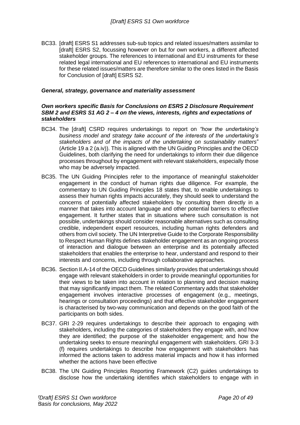BC33. [draft] ESRS S1 addresses sub-sub topics and related issues/matters assimilar to [draft] ESRS S2, focussing however on but for own workers, a different affected stakeholder groups. The references to international and EU instruments for these related legal international and EU references to international and EU instruments for these related issues/matters are therefore similar to the ones listed in the Basis for Conclusion of [draft] ESRS S2.

#### <span id="page-19-0"></span>*General, strategy, governance and materiality assessment*

#### <span id="page-19-1"></span>*Own workers specific Basis for Conclusions on ESRS 2 Disclosure Requirement SBM 2 and ESRS S1 AG 2 – 4 on the views, interests, rights and expectations of stakeholders*

- BC34. The [draft] CSRD requires undertakings to report on *"how the undertaking's business model and strategy take account of the interests of the undertaking's stakeholders and of the impacts of the undertaking on sustainability matters*" (Article 19 a 2 (a.iv)). This is aligned with the UN Guiding Principles and the OECD Guidelines, both clarifying the need for undertakings to inform their due diligence processes throughout by engagement with relevant stakeholders, especially those who may be adversely impacted.
- BC35. The UN Guiding Principles refer to the importance of meaningful stakeholder engagement in the conduct of human rights due diligence. For example, the commentary to UN Guiding Principles 18 states that, to enable undertakings to assess their human rights impacts accurately, they should seek to understand the concerns of potentially affected stakeholders by consulting them directly in a manner that takes into account language and other potential barriers to effective engagement. It further states that in situations where such consultation is not possible, undertakings should consider reasonable alternatives such as consulting credible, independent expert resources, including human rights defenders and others from civil society. The UN Interpretive Guide to the Corporate Responsibility to Respect Human Rights defines stakeholder engagement as an ongoing process of interaction and dialogue between an enterprise and its potentially affected stakeholders that enables the enterprise to hear, understand and respond to their interests and concerns, including through collaborative approaches.
- BC36. Section II.A-14 of the OECD Guidelines similarly provides that undertakings should engage with relevant stakeholders in order to provide meaningful opportunities for their views to be taken into account in relation to planning and decision making that may significantly impact them. The related Commentary adds that stakeholder engagement involves interactive processes of engagement (e.g., meetings, hearings or consultation proceedings) and that effective stakeholder engagement is characterised by two-way communication and depends on the good faith of the participants on both sides.
- BC37. GRI 2-29 requires undertakings to describe their approach to engaging with stakeholders, including the categories of stakeholders they engage with, and how they are identified; the purpose of the stakeholder engagement; and how the undertaking seeks to ensure meaningful engagement with stakeholders. GRI 3-3 (f) requires undertakings to describe how engagement with stakeholders has informed the actions taken to address material impacts and how it has informed whether the actions have been effective
- BC38. The UN Guiding Principles Reporting Framework (C2) guides undertakings to disclose how the undertaking identifies which stakeholders to engage with in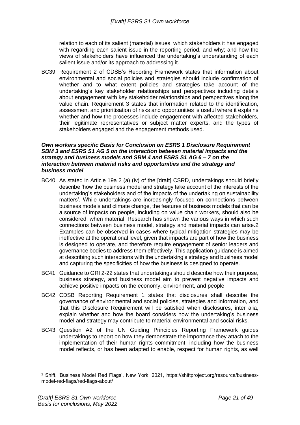relation to each of its salient (material) issues; which stakeholders it has engaged with regarding each salient issue in the reporting period, and why; and how the views of stakeholders have influenced the undertaking's understanding of each salient issue and/or its approach to addressing it.

BC39. Requirement 2 of CDSB's Reporting Framework states that information about environmental and social policies and strategies should include confirmation of whether and to what extent policies and strategies take account of the undertaking's key stakeholder relationships and perspectives including details about engagement with key stakeholder relationships and perspectives along the value chain. Requirement 3 states that information related to the identification, assessment and prioritisation of risks and opportunities is useful where it explains whether and how the processes include engagement with affected stakeholders, their legitimate representatives or subject matter experts, and the types of stakeholders engaged and the engagement methods used.

#### <span id="page-20-0"></span>*Own workers specific Basis for Conclusion on ESRS 1 Disclosure Requirement SBM 3 and ESRS S1 AG 5 on the interaction between material impacts and the strategy and business models and SBM 4 and ESRS S1 AG 6 – 7 on the interaction between material risks and opportunities and the strategy and business model*

- BC40. As stated in Article 19a 2 (a) (iv) of the [draft] CSRD, undertakings should briefly describe 'how the business model and strategy take account of the interests of the undertaking's stakeholders and of the impacts of the undertaking on sustainability matters'. While undertakings are increasingly focused on connections between business models and climate change, the features of business models that can be a source of impacts on people, including on value chain workers, should also be considered, when material. Research has shown the various ways in which such connections between business model, strategy and material impacts can arise.2 Examples can be observed in cases where typical mitigation strategies may be ineffective at the operational level, given that impacts are part of how the business is designed to operate, and therefore require engagement of senior leaders and governance bodies to address them effectively. This application guidance is aimed at describing such interactions with the undertaking's strategy and business model and capturing the specificities of how the business is designed to operate.
- BC41. Guidance to GRI 2-22 states that undertakings should describe how their purpose, business strategy, and business model aim to prevent negative impacts and achieve positive impacts on the economy, environment, and people.
- BC42. CDSB Reporting Requirement 1 states that disclosures shall describe the governance of environmental and social policies, strategies and information, and that this Disclosure Requirement will be satisfied when disclosures, inter alia, explain whether and how the board considers how the undertaking's business model and strategy may contribute to material environmental and social risks.
- BC43. Question A2 of the UN Guiding Principles Reporting Framework guides undertakings to report on how they demonstrate the importance they attach to the implementation of their human rights commitment, including how the business model reflects, or has been adapted to enable, respect for human rights, as well

<sup>2</sup> Shift, 'Business Model Red Flags', New York, 2021, [https://shiftproject.org/resource/business](https://shiftproject.org/resource/business-model-red-flags/red-flags-about/)[model-red-flags/red-flags-about/](https://shiftproject.org/resource/business-model-red-flags/red-flags-about/)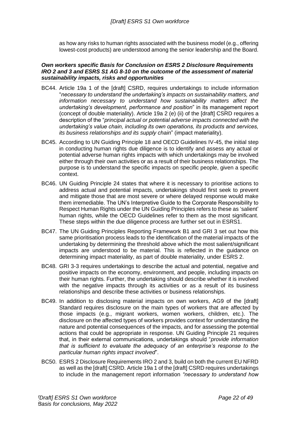as how any risks to human rights associated with the business model (e.g., offering lowest-cost products) are understood among the senior leadership and the Board.

#### <span id="page-21-0"></span>*Own workers specific Basis for Conclusion on ESRS 2 Disclosure Requirements IRO 2 and 3 and ESRS S1 AG 8-10 on the outcome of the assessment of material sustainability impacts, risks and opportunities*

- BC44. Article 19a 1 of the [draft] CSRD, requires undertakings to include information "*necessary to understand the undertaking's impacts on sustainability matters, and information necessary to understand how sustainability matters affect the undertaking's development, performance and position*" in its management report (concept of double materiality). Article 19a 2 (e) (ii) of the [draft] CSRD requires a description of the "*principal actual or potential adverse impacts connected with the undertaking's value chain, including its own operations, its products and services, its business relationships and its supply chain*" (impact materiality).
- BC45. According to UN Guiding Principle 18 and OECD Guidelines IV-45, the initial step in conducting human rights due diligence is to identify and assess any actual or potential adverse human rights impacts with which undertakings may be involved either through their own activities or as a result of their business relationships. The purpose is to understand the specific impacts on specific people, given a specific context.
- BC46. UN Guiding Principle 24 states that where it is necessary to prioritise actions to address actual and potential impacts, undertakings should first seek to prevent and mitigate those that are most severe or where delayed response would make them irremediable. The UN's Interpretive Guide to the Corporate Responsibility to Respect Human Rights under the UN Guiding Principles refers to these as 'salient' human rights, while the OECD Guidelines refer to them as the most significant. These steps within the due diligence process are further set out in ESRS1.
- BC47. The UN Guiding Principles Reporting Framework B1 and GRI 3 set out how this same prioritisation process leads to the identification of the material impacts of the undertaking by determining the threshold above which the most salient/significant impacts are understood to be material. This is reflected in the guidance on determining impact materiality, as part of double materiality, under ESRS 2.
- BC48. GRI 3-3 requires undertakings to describe the actual and potential, negative and positive impacts on the economy, environment, and people, including impacts on their human rights. Further, the undertaking should describe whether it is involved with the negative impacts through its activities or as a result of its business relationships and describe these activities or business relationships.
- BC49. In addition to disclosing material impacts on own workers, AG9 of the [draft] Standard requires disclosure on the main types of workers that are affected by those impacts (e.g., migrant workers, women workers, children, etc.). The disclosure on the affected types of workers provides context for understanding the nature and potential consequences of the impacts, and for assessing the potential actions that could be appropriate in response. UN Guiding Principle 21 requires that, in their external communications, undertakings should "*provide information that is sufficient to evaluate the adequacy of an enterprise's response to the particular human rights impact involved*".
- BC50. ESRS 2 Disclosure Requirements IRO 2 and 3, build on both the current EU NFRD as well as the [draft] CSRD. Article 19a 1 of the [draft] CSRD requires undertakings to include in the management report information *"necessary to understand how*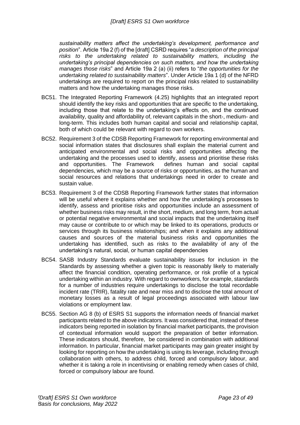*sustainability matters affect the undertaking's development, performance and position*". Article 19a 2 (f) of the [draft] CSRD requires "*a description of the principal risks to the undertaking related to sustainability matters, including the undertaking's principal dependencies on such matters, and how the undertaking manages those risks*" and Article 19a 2 (a) (ii) refers to "*the opportunities for the undertaking related to sustainability matters*". Under Article 19a 1 (d) of the NFRD undertakings are required to report on the principal risks related to sustainability matters and how the undertaking manages those risks.

- BC51. The Integrated Reporting Framework (4.25) highlights that an integrated report should identify the key risks and opportunities that are specific to the undertaking, including those that relate to the undertaking's effects on, and the continued availability, quality and affordability of, relevant capitals in the short-, medium- and long-term. This includes both human capital and social and relationship capital, both of which could be relevant with regard to own workers.
- BC52. Requirement 3 of the CDSB Reporting Framework for reporting environmental and social information states that disclosures shall explain the material current and anticipated environmental and social risks and opportunities affecting the undertaking and the processes used to identify, assess and prioritise these risks and opportunities. The Framework defines human and social capital dependencies, which may be a source of risks or opportunities, as the human and social resources and relations that undertakings need in order to create and sustain value.
- BC53. Requirement 3 of the CDSB Reporting Framework further states that information will be useful where it explains whether and how the undertaking's processes to identify, assess and prioritise risks and opportunities include an assessment of whether business risks may result, in the short, medium, and long term, from actual or potential negative environmental and social impacts that the undertaking itself may cause or contribute to or which may be linked to its operations, products or services through its business relationships; and when it explains any additional causes and sources of the material business risks and opportunities the undertaking has identified, such as risks to the availability of any of the undertaking's natural, social, or human capital dependencies
- BC54. SASB Industry Standards evaluate sustainability issues for inclusion in the Standards by assessing whether a given topic is reasonably likely to materially affect the financial condition, operating performance, or risk profile of a typical undertaking within an industry. With regard to ownworkers, for example, standards for a number of industries require undertakings to disclose the total recordable incident rate (TRIR), fatality rate and near miss and to disclose the total amount of monetary losses as a result of legal proceedings associated with labour law violations or employment law.
- BC55. Section AG 8 (b) of ESRS S1 supports the information needs of financial market participants related to the above indicators. It was considered that, instead of these indicators being reported in isolation by financial market participants, the provision of contextual information would support the preparation of better information. These indicators should, therefore, be considered in combination with additional information. In particular, financial market participants may gain greater insight by looking for reporting on how the undertaking is using its leverage, including through collaboration with others, to address child, forced and compulsory labour, and whether it is taking a role in incentivising or enabling remedy when cases of child, forced or compulsory labour are found.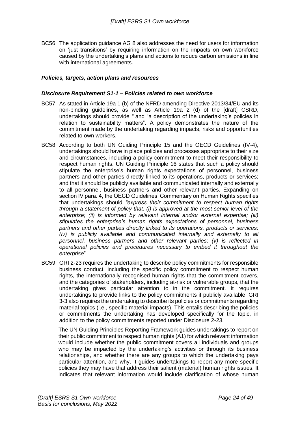BC56. The application guidance AG 8 also addresses the need for users for information on 'just transitions' by requiring information on the impacts on own workforce caused by the undertaking's plans and actions to reduce carbon emissions in line with international agreements.

#### <span id="page-23-0"></span>*Policies, targets, action plans and resources*

#### <span id="page-23-1"></span>*Disclosure Requirement S1-1 – Policies related to own workforce*

- BC57. As stated in Article 19a 1 (b) of the NFRD amending Directive 2013/34/EU and its non-binding guidelines, as well as Article 19a 2 (d) of the [draft] CSRD, undertakings should provide *"* and "a description of the undertaking's policies in relation to sustainability matters". A policy demonstrates the nature of the commitment made by the undertaking regarding impacts, risks and opportunities related to own workers.
- BC58. According to both UN Guiding Principle 15 and the OECD Guidelines (IV-4), undertakings should have in place policies and processes appropriate to their size and circumstances, including a policy commitment to meet their responsibility to respect human rights. UN Guiding Principle 16 states that such a policy should stipulate the enterprise's human rights expectations of personnel, business partners and other parties directly linked to its operations, products or services; and that it should be publicly available and communicated internally and externally to all personnel, business partners and other relevant parties. Expanding on section IV para. 4, the OECD Guidelines' Commentary on Human Rights specifies that undertakings should *"express their commitment to respect human rights through a statement of policy that: (i) is approved at the most senior level of the enterprise; (ii) is informed by relevant internal and/or external expertise; (iii) stipulates the enterprise's human rights expectations of personnel, business partners and other parties directly linked to its operations, products or services; (iv) is publicly available and communicated internally and externally to all personnel, business partners and other relevant parties; (v) is reflected in operational policies and procedures necessary to embed it throughout the enterprise*".
- BC59. GRI 2-23 requires the undertaking to describe policy commitments for responsible business conduct, including the specific policy commitment to respect human rights, the internationally recognised human rights that the commitment covers, and the categories of stakeholders, including at-risk or vulnerable groups, that the undertaking gives particular attention to in the commitment. It requires undertakings to provide links to the policy commitments if publicly available. GRI 3-3 also requires the undertaking to describe its policies or commitments regarding material topics (i.e., specific material impacts). This entails describing the policies or commitments the undertaking has developed specifically for the topic, in addition to the policy commitments reported under Disclosure 2-23.

The UN Guiding Principles Reporting Framework guides undertakings to report on their public commitment to respect human rights (A1) for which relevant information would include whether the public commitment covers all individuals and groups who may be impacted by the undertaking's activities or through its business relationships, and whether there are any groups to which the undertaking pays particular attention, and why. It guides undertakings to report any more specific policies they may have that address their salient (material) human rights issues. It indicates that relevant information would include clarification of whose human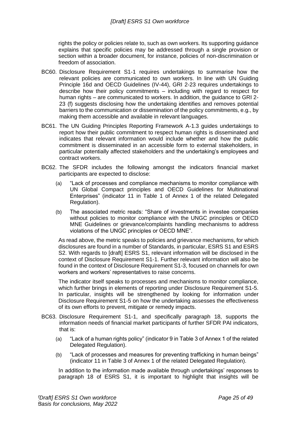rights the policy or policies relate to, such as own workers. Its supporting guidance explains that specific policies may be addressed through a single provision or section within a broader document, for instance, policies of non-discrimination or freedom of association.

- BC60. Disclosure Requirement S1-1 requires undertakings to summarise how the relevant policies are communicated to own workers. In line with UN Guiding Principle 16d and OECD Guidelines (IV-44), GRI 2-23 requires undertakings to describe how their policy commitments – including with regard to respect for human rights – are communicated to workers. In addition, the guidance to GRI 2- 23 (f) suggests disclosing how the undertaking identifies and removes potential barriers to the communication or dissemination of the policy commitments, e.g., by making them accessible and available in relevant languages.
- BC61. The UN Guiding Principles Reporting Framework A-1.3 guides undertakings to report how their public commitment to respect human rights is disseminated and indicates that relevant information would include whether and how the public commitment is disseminated in an accessible form to external stakeholders, in particular potentially affected stakeholders and the undertaking's employees and contract workers.
- BC62. The SFDR includes the following amongst the indicators financial market participants are expected to disclose:
	- (a) "Lack of processes and compliance mechanisms to monitor compliance with UN Global Compact principles and OECD Guidelines for Multinational Enterprises" (indicator 11 in Table 1 of Annex 1 of the related Delegated Regulation).
	- (b) The associated metric reads: "Share of investments in investee companies without policies to monitor compliance with the UNGC principles or OECD MNE Guidelines or grievance/complaints handling mechanisms to address violations of the UNGC principles or OECD MNE".

As read above, the metric speaks to policies and grievance mechanisms, for which disclosures are found in a number of Standards, in particular, ESRS S1 and ESRS S2. With regards to [draft] ESRS S1, relevant information will be disclosed in the context of Disclosure Requirement S1-1. Further relevant information will also be found in the context of Disclosure Requirement S1-3, focused on channels for own workers and workers' representatives to raise concerns.

The indicator itself speaks to processes and mechanisms to monitor compliance, which further brings in elements of reporting under Disclosure Requirement S1-5. In particular, insights will be strengthened by looking for information under Disclosure Requirement S1-5 on how the undertaking assesses the effectiveness of its own efforts to prevent, mitigate or remedy impacts.

- BC63. Disclosure Requirement S1-1, and specifically paragraph 18, supports the information needs of financial market participants of further SFDR PAI indicators, that is:
	- (a) "Lack of a human rights policy" (indicator 9 in Table 3 of Annex 1 of the related Delegated Regulation).
	- (b) "Lack of processes and measures for preventing trafficking in human beings" (indicator 11 in Table 3 of Annex 1 of the related Delegated Regulation).

In addition to the information made available through undertakings' responses to paragraph 18 of ESRS S1, it is important to highlight that insights will be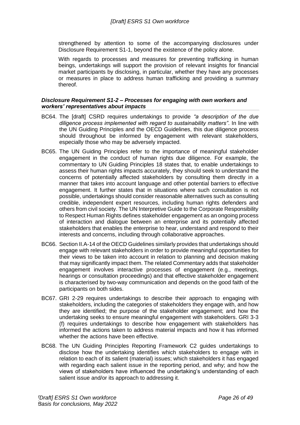strengthened by attention to some of the accompanying disclosures under Disclosure Requirement S1-1, beyond the existence of the policy alone.

With regards to processes and measures for preventing trafficking in human beings, undertakings will support the provision of relevant insights for financial market participants by disclosing, in particular, whether they have any processes or measures in place to address human trafficking and providing a summary thereof.

#### <span id="page-25-0"></span>*Disclosure Requirement S1-2 – Processes for engaging with own workers and workers' representatives about impacts*

- BC64. The [draft] CSRD requires undertakings to provide *"a description of the due diligence process implemented with regard to sustainability matters"*. In line with the UN Guiding Principles and the OECD Guidelines, this due diligence process should throughout be informed by engagement with relevant stakeholders, especially those who may be adversely impacted.
- BC65. The UN Guiding Principles refer to the importance of meaningful stakeholder engagement in the conduct of human rights due diligence. For example, the commentary to UN Guiding Principles 18 states that, to enable undertakings to assess their human rights impacts accurately, they should seek to understand the concerns of potentially affected stakeholders by consulting them directly in a manner that takes into account language and other potential barriers to effective engagement. It further states that in situations where such consultation is not possible, undertakings should consider reasonable alternatives such as consulting credible, independent expert resources, including human rights defenders and others from civil society. The UN Interpretive Guide to the Corporate Responsibility to Respect Human Rights defines stakeholder engagement as an ongoing process of interaction and dialogue between an enterprise and its potentially affected stakeholders that enables the enterprise to hear, understand and respond to their interests and concerns, including through collaborative approaches.
- BC66. Section II.A-14 of the OECD Guidelines similarly provides that undertakings should engage with relevant stakeholders in order to provide meaningful opportunities for their views to be taken into account in relation to planning and decision making that may significantly impact them. The related Commentary adds that stakeholder engagement involves interactive processes of engagement (e.g., meetings, hearings or consultation proceedings) and that effective stakeholder engagement is characterised by two-way communication and depends on the good faith of the participants on both sides.
- BC67. GRI 2-29 requires undertakings to describe their approach to engaging with stakeholders, including the categories of stakeholders they engage with, and how they are identified; the purpose of the stakeholder engagement; and how the undertaking seeks to ensure meaningful engagement with stakeholders. GRI 3-3 (f) requires undertakings to describe how engagement with stakeholders has informed the actions taken to address material impacts and how it has informed whether the actions have been effective.
- BC68. The UN Guiding Principles Reporting Framework C2 guides undertakings to disclose how the undertaking identifies which stakeholders to engage with in relation to each of its salient (material) issues; which stakeholders it has engaged with regarding each salient issue in the reporting period, and why; and how the views of stakeholders have influenced the undertaking's understanding of each salient issue and/or its approach to addressing it.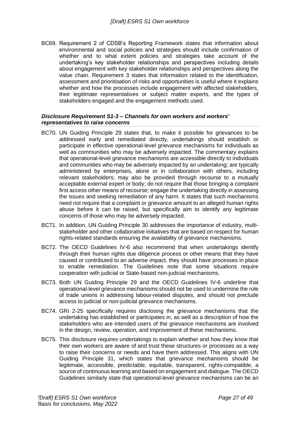BC69. Requirement 2 of CDSB's Reporting Framework states that information about environmental and social policies and strategies should include confirmation of whether and to what extent policies and strategies take account of the undertaking's key stakeholder relationships and perspectives including details about engagement with key stakeholder relationships and perspectives along the value chain. Requirement 3 states that information related to the identification, assessment and prioritisation of risks and opportunities is useful where it explains whether and how the processes include engagement with affected stakeholders, their legitimate representatives or subject matter experts, and the types of stakeholders engaged and the engagement methods used.

#### <span id="page-26-0"></span>*Disclosure Requirement S1-3 – Channels for own workers and workers' representatives to raise concerns*

- BC70. UN Guiding Principle 29 states that, to make it possible for grievances to be addressed early and remediated directly, undertakings should establish or participate in effective operational-level grievance mechanisms for individuals as well as communities who may be adversely impacted. The commentary explains that operational-level grievance mechanisms are accessible directly to individuals and communities who may be adversely impacted by an undertaking; are typically administered by enterprises, alone or in collaboration with others, including relevant stakeholders; may also be provided through recourse to a mutually acceptable external expert or body; do not require that those bringing a complaint first access other means of recourse; engage the undertaking directly in assessing the issues and seeking remediation of any harm. It states that such mechanisms need not require that a complaint or grievance amount to an alleged human rights abuse before it can be raised, but specifically aim to identify any legitimate concerns of those who may be adversely impacted.
- BC71. In addition, UN Guiding Principle 30 addresses the importance of industry, multistakeholder and other collaborative initiatives that are based on respect for human rights-related standards ensuring the availability of grievance mechanisms.
- BC72. The OECD Guidelines IV-6 also recommend that when undertakings identify through their human rights due diligence process or other means that they have caused or contributed to an adverse impact, they should have processes in place to enable remediation. The Guidelines note that some situations require cooperation with judicial or State-based non-judicial mechanisms.
- BC73. Both UN Guiding Principle 29 and the OECD Guidelines IV-6 underline that operational-level grievance mechanisms should not be used to undermine the role of trade unions in addressing labour-related disputes, and should not preclude access to judicial or non-judicial grievance mechanisms.
- BC74. GRI 2-25 specifically requires disclosing the grievance mechanisms that the undertaking has established or participates in, as well as a description of how the stakeholders who are intended users of the grievance mechanisms are involved in the design, review, operation, and improvement of these mechanisms.
- BC75. This disclosure requires undertakings to explain whether and how they know that their own workers are aware of and trust these structures or processes as a way to raise their concerns or needs and have them addressed. This aligns with UN Guiding Principle 31, which states that grievance mechanisms should be legitimate, accessible, predictable, equitable, transparent, rights-compatible, a source of continuous learning and based on engagement and dialogue. The OECD Guidelines similarly state that operational-level grievance mechanisms can be an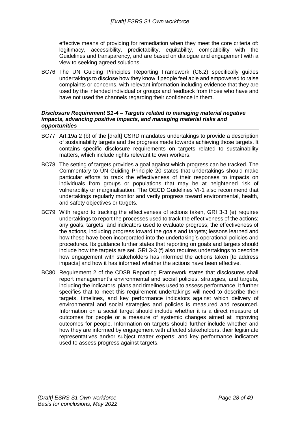effective means of providing for remediation when they meet the core criteria of: legitimacy, accessibility, predictability, equitability, compatibility with the Guidelines and transparency, and are based on dialogue and engagement with a view to seeking agreed solutions.

BC76. The UN Guiding Principles Reporting Framework (C6.2) specifically guides undertakings to disclose how they know if people feel able and empowered to raise complaints or concerns, with relevant information including evidence that they are used by the intended individual or groups and feedback from those who have and have not used the channels regarding their confidence in them.

#### <span id="page-27-0"></span>*Disclosure Requirement S1-4 – Targets related to managing material negative impacts, advancing positive impacts, and managing material risks and opportunities*

- BC77. Art.19a 2 (b) of the [draft] CSRD mandates undertakings to provide a description of sustainability targets and the progress made towards achieving those targets. It contains specific disclosure requirements on targets related to sustainability matters, which include rights relevant to own workers.
- BC78. The setting of targets provides a goal against which progress can be tracked. The Commentary to UN Guiding Principle 20 states that undertakings should make particular efforts to track the effectiveness of their responses to impacts on individuals from groups or populations that may be at heightened risk of vulnerability or marginalisation. The OECD Guidelines VI-1 also recommend that undertakings regularly monitor and verify progress toward environmental, health, and safety objectives or targets.
- BC79. With regard to tracking the effectiveness of actions taken, GRI 3-3 (e) requires undertakings to report the processes used to track the effectiveness of the actions; any goals, targets, and indicators used to evaluate progress; the effectiveness of the actions, including progress toward the goals and targets; lessons learned and how these have been incorporated into the undertaking's operational policies and procedures. Its guidance further states that reporting on goals and targets should include how the targets are set. GRI 3-3 (f) also requires undertakings to describe how engagement with stakeholders has informed the actions taken [to address impacts] and how it has informed whether the actions have been effective.
- BC80. Requirement 2 of the CDSB Reporting Framework states that disclosures shall report management's environmental and social policies, strategies, and targets, including the indicators, plans and timelines used to assess performance. It further specifies that to meet this requirement undertakings will need to describe their targets, timelines, and key performance indicators against which delivery of environmental and social strategies and policies is measured and resourced. Information on a social target should include whether it is a direct measure of outcomes for people or a measure of systemic changes aimed at improving outcomes for people. Information on targets should further include whether and how they are informed by engagement with affected stakeholders, their legitimate representatives and/or subject matter experts; and key performance indicators used to assess progress against targets.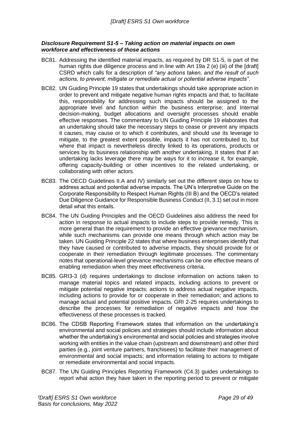#### <span id="page-28-0"></span>*Disclosure Requirement S1-5 – Taking action on material impacts on own workforce and effectiveness of those actions*

- BC81. Addressing the identified material impacts, as required by DR S1-5, is part of the human rights due diligence process and in line with Art 19a 2 (e) (iii) of the [draft] CSRD which calls for a description of *"any actions taken, and the result of such actions, to prevent, mitigate or remediate actual or potential adverse impacts"*.
- BC82. UN Guiding Principle 19 states that undertakings should take appropriate action in order to prevent and mitigate negative human rights impacts and that, to facilitate this, responsibility for addressing such impacts should be assigned to the appropriate level and function within the business enterprise; and Internal decision-making, budget allocations and oversight processes should enable effective responses. The commentary to UN Guiding Principle 19 elaborates that an undertaking should take the necessary steps to cease or prevent any impacts it causes, may cause or to which it contributes, and should use its leverage to mitigate, to the greatest extent possible, impacts it has not contributed to, but where that impact is nevertheless directly linked to its operations, products or services by its business relationship with another undertaking. It states that if an undertaking lacks leverage there may be ways for it to increase it, for example, offering capacity-building or other incentives to the related undertaking, or collaborating with other actors.
- BC83. The OECD Guidelines II.A and IV) similarly set out the different steps on how to address actual and potential adverse impacts. The UN's Interpretive Guide on the Corporate Responsibility to Respect Human Rights (III B) and the OECD's related Due Diligence Guidance for Responsible Business Conduct (II, 3.1) set out in more detail what this entails.
- BC84. The UN Guiding Principles and the OECD Guidelines also address the need for action in response to actual impacts to include steps to provide remedy. This is more general than the requirement to provide an effective grievance mechanism, while such mechanisms can provide one means through which action may be taken. UN Guiding Principle 22 states that where business enterprises identify that they have caused or contributed to adverse impacts, they should provide for or cooperate in their remediation through legitimate processes. The commentary notes that operational-level grievance mechanisms can be one effective means of enabling remediation when they meet effectiveness criteria.
- BC85. GRI3-3 (d) requires undertakings to disclose information on actions taken to manage material topics and related impacts, including actions to prevent or mitigate potential negative impacts; actions to address actual negative impacts, including actions to provide for or cooperate in their remediation; and actions to manage actual and potential positive impacts. GRI 2-25 requires undertakings to describe the processes for remediation of negative impacts and how the effectiveness of these processes is tracked.
- BC86. The CDSB Reporting Framework states that information on the undertaking's environmental and social policies and strategies should include information about whether the undertaking's environmental and social policies and strategies involve working with entities in the value chain (upstream and downstream) and other third parties (e.g., joint venture partners, franchisees) to facilitate their management of environmental and social impacts; and information relating to actions to mitigate or remediate environmental and social impacts.
- BC87. The UN Guiding Principles Reporting Framework (C4.3) guides undertakings to report what action they have taken in the reporting period to prevent or mitigate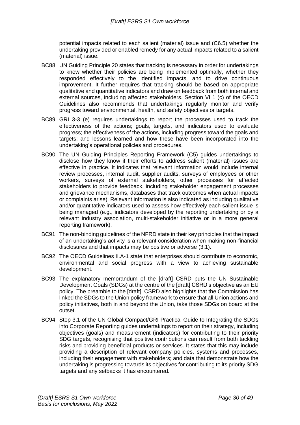potential impacts related to each salient (material) issue and (C6.5) whether the undertaking provided or enabled remedy for any actual impacts related to a salient (material) issue.

- BC88. UN Guiding Principle 20 states that tracking is necessary in order for undertakings to know whether their policies are being implemented optimally, whether they responded effectively to the identified impacts, and to drive continuous improvement. It further requires that tracking should be based on appropriate qualitative and quantitative indicators and draw on feedback from both internal and external sources, including affected stakeholders. Section VI 1 (c) of the OECD Guidelines also recommends that undertakings regularly monitor and verify progress toward environmental, health, and safety objectives or targets.
- BC89. GRI 3-3 (e) requires undertakings to report the processes used to track the effectiveness of the actions; goals, targets, and indicators used to evaluate progress; the effectiveness of the actions, including progress toward the goals and targets; and lessons learned and how these have been incorporated into the undertaking's operational policies and procedures.
- BC90. The UN Guiding Principles Reporting Framework (C5) guides undertakings to disclose how they know if their efforts to address salient (material) issues are effective in practice. It indicates that relevant information would include internal review processes, internal audit, supplier audits, surveys of employees or other workers, surveys of external stakeholders, other processes for affected stakeholders to provide feedback, including stakeholder engagement processes and grievance mechanisms, databases that track outcomes when actual impacts or complaints arise). Relevant information is also indicated as including qualitative and/or quantitative indicators used to assess how effectively each salient issue is being managed (e.g., indicators developed by the reporting undertaking or by a relevant industry association, multi-stakeholder initiative or in a more general reporting framework).
- BC91. The non-binding guidelines of the NFRD state in their key principles that the impact of an undertaking's activity is a relevant consideration when making non-financial disclosures and that impacts may be positive or adverse (3.1).
- BC92. The OECD Guidelines II.A-1 state that enterprises should contribute to economic, environmental and social progress with a view to achieving sustainable development.
- BC93. The explanatory memorandum of the [draft] CSRD puts the UN Sustainable Development Goals (SDGs) at the centre of the [draft] CSRD's objective as an EU policy. The preamble to the [draft] CSRD also highlights that the Commission has linked the SDGs to the Union policy framework to ensure that all Union actions and policy initiatives, both in and beyond the Union, take those SDGs on board at the outset.
- BC94. Step 3.1 of the UN Global Compact/GRI Practical Guide to Integrating the SDGs into Corporate Reporting guides undertakings to report on their strategy, including objectives (goals) and measurement (indicators) for contributing to their priority SDG targets, recognising that positive contributions can result from both tackling risks and providing beneficial products or services. It states that this may include providing a description of relevant company policies, systems and processes, including their engagement with stakeholders; and data that demonstrate how the undertaking is progressing towards its objectives for contributing to its priority SDG targets and any setbacks it has encountered.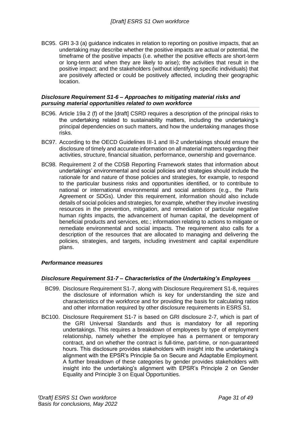BC95. GRI 3-3 (a) guidance indicates in relation to reporting on positive impacts, that an undertaking may describe whether the positive impacts are actual or potential, the timeframe of the positive impacts (i.e. whether the positive effects are short-term or long-term and when they are likely to arise); the activities that result in the positive impact; and the stakeholders (without identifying specific individuals) that are positively affected or could be positively affected, including their geographic location.

#### <span id="page-30-0"></span>*Disclosure Requirement S1-6 – Approaches to mitigating material risks and pursuing material opportunities related to own workforce*

- BC96. Article 19a 2 (f) of the [draft] CSRD requires a description of the principal risks to the undertaking related to sustainability matters, including the undertaking's principal dependencies on such matters, and how the undertaking manages those risks.
- BC97. According to the OECD Guidelines III-1 and III-2 undertakings should ensure the disclosure of timely and accurate information on all material matters regarding their activities, structure, financial situation, performance, ownership and governance.
- BC98. Requirement 2 of the CDSB Reporting Framework states that information about undertakings' environmental and social policies and strategies should include the rationale for and nature of those policies and strategies, for example, to respond to the particular business risks and opportunities identified, or to contribute to national or international environmental and social ambitions (e.g., the Paris Agreement or SDGs). Under this requirement, information should also include details of social policies and strategies, for example, whether they involve investing resources in the prevention, mitigation, and remediation of particular negative human rights impacts, the advancement of human capital, the development of beneficial products and services, etc.; information relating to actions to mitigate or remediate environmental and social impacts. The requirement also calls for a description of the resources that are allocated to managing and delivering the policies, strategies, and targets, including investment and capital expenditure plans.

#### <span id="page-30-1"></span>*Performance measures*

#### <span id="page-30-2"></span>*Disclosure Requirement S1-7 – Characteristics of the Undertaking's Employees*

- BC99. Disclosure Requirement S1-7, along with Disclosure Requirement S1-8, requires the disclosure of information which is key for understanding the size and characteristics of the workforce and for providing the basis for calculating ratios and other information required by other disclosure requirements in ESRS S1.
- BC100. Disclosure Requirement S1-7 is based on GRI disclosure 2-7, which is part of the GRI Universal Standards and thus is mandatory for all reporting undertakings. This requires a breakdown of employees by type of employment relationship, namely whether the employee has a permanent or temporary contract, and on whether the contract is full-time, part-time, or non-guaranteed hours. This disclosure provides stakeholders with insight into the undertaking's alignment with the EPSR's Principle 5a on Secure and Adaptable Employment. A further breakdown of these categories by gender provides stakeholders with insight into the undertaking's alignment with EPSR's Principle 2 on Gender Equality and Principle 3 on Equal Opportunities.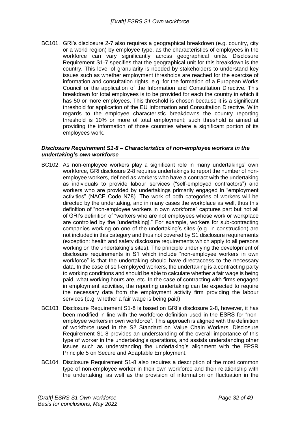BC101. GRI's disclosure 2-7 also requires a geographical breakdown (e.g. country, city or a world region) by employee type, as the characteristics of employees in the workforce can vary significantly across geographical units. Disclosure Requirement S1-7 specifies that the geographical unit for this breakdown is the country. This level of granularity is needed by stakeholders to understand key issues such as whether employment thresholds are reached for the exercise of information and consultation rights, e.g. for the formation of a European Works Council or the application of the Information and Consultation Directive. This breakdown for total employees is to be provided for each the country in which it has 50 or more employees. This threshold is chosen because it is a significant threshold for application of the EU Information and Consultation Directive. With regards to the employee characteristic breakdowns the country reporting threshold is 10% or more of total employment; such threshold is aimed at providing the information of those countries where a significant portion of its employees work.

#### <span id="page-31-0"></span>*Disclosure Requirement S1-8 – Characteristics of non-employee workers in the undertaking's own workforce*

- BC102. As non-employee workers play a significant role in many undertakings' own workforce, GRI disclosure 2-8 requires undertakings to report the number of nonemployee workers, defined as workers who have a contract with the undertaking as individuals to provide labour services ("self-employed contractors") and workers who are provided by undertakings primarily engaged in "employment activities" (NACE Code N78). The work of both categories of workers will be directed by the undertaking, and in many cases the workplace as well, thus this definition of "non-employee workers in own workforce" captures part but not all of GRI's definition of "workers who are not employees whose work or workplace are controlled by the [undertaking]." For example, workers for sub-contracting companies working on one of the undertaking's sites (e.g. in construction) are not included in this category and thus not covered by S1 disclosure requirements (exception: health and safety disclosure requirements which apply to all persons working on the undertaking's sites). The principle underlying the development of disclosure requirements in S1 which include "non-employee workers in own workforce" is that the undertaking should have directaccess to the necessary data. In the case of self-employed workers, the undertaking is a contracting party to working conditions and should be able to calculate whether a fair wage is being paid, what working hours are, etc. In the case of contracting with firms engaged in employment activities, the reporting undertaking can be expected to require the necessary data from the employment activity firm providing the labour services (e.g. whether a fair wage is being paid).
- BC103. Disclosure Requirement S1-8 is based on GRI's disclosure 2-8, however, it has been modified in line with the workforce definition used in the ESRS for "nonemployee workers in own workforce". This approach is aligned with the definition of workforce used in the S2 Standard on Value Chain Workers. Disclosure Requirement S1-8 provides an understanding of the overall importance of this type of worker in the undertaking's operations, and assists understanding other issues such as understanding the undertaking's alignment with the EPSR Principle 5 on Secure and Adaptable Employment.
- BC104. Disclosure Requirement S1-8 also requires a description of the most common type of non-employee worker in their own workforce and their relationship with the undertaking, as well as the provision of information on fluctuation in the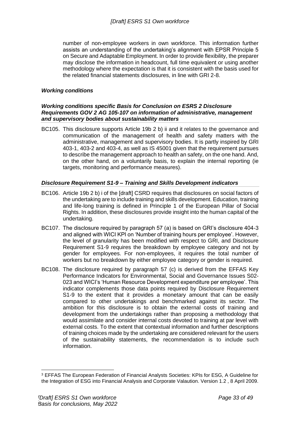number of non-employee workers in own workforce. This information further assists an understanding of the undertaking's alignment with EPSR Principle 5 on Secure and Adaptable Employment. In order to provide flexibility, the preparer may disclose the information in headcount, full time equivalent or using another methodology where the expectation is that it is consistent with the basis used for the related financial statements disclosures, in line with GRI 2-8.

#### <span id="page-32-0"></span>*Working conditions*

#### <span id="page-32-1"></span>*Working conditions specific Basis for Conclusion on ESRS 2 Disclosure Requirements GOV 2 AG 105-107 on information of administrative, management and supervisory bodies about sustainability matters*

BC105. This disclosure supports Article 19b 2 b) ii and it relates to the governance and communication of the management of health and safety matters with the administrative, management and supervisory bodies. It is partly inspired by GRI 403-1, 403-2 and 403-4, as well as IS 45001 given that the requirement pursues to describe the management approach to health an safety, on the one hand. And, on the other hand, on a voluntarily basis, to explain the internal reporting (ie targets, monitoring and performance measures).

#### <span id="page-32-2"></span>*Disclosure Requirement S1-9 – Training and Skills Development indicators*

- BC106. Article 19b 2 b) i of the [draft] CSRD requires that disclosures on social factors of the undertaking are to include training and skills development. Education, training and life-long training is defined in Principle 1 of the European Pillar of Social Rights. In addition, these disclosures provide insight into the human capital of the undertaking.
- BC107. The disclosure required by paragraph 57 (a) is based on GRI's disclosure 404-3 and aligned with WICI KPI on 'Number of training hours per employee'. However, the level of granularity has been modified with respect to GRI, and Disclosure Requirement S1-9 requires the breakdown by employee category and not by gender for employees. For non-employees, it requires the total number of workers but no breakdown by either employee category or gender is required.
- BC108. The disclosure required by paragraph 57 (c) is derived from the EFFAS Key Performance Indicators for Environmental, Social and Governance Issues S02- 023 and WICI's 'Human Resource Development expenditure per employee'. This indicator complements those data points required by Disclosure Requirement S1-9 to the extent that it provides a monetary amount that can be easily compared to other undertakings and benchmarked against its sector. The ambition for this disclosure is to obtain the external costs of training and development from the undertakings rather than proposing a methodology that would assimilate and consider internal costs devoted to training at par level with external costs. To the extent that contextual information and further descriptions of training choices made by the undertaking are considered relevant for the users of the sustainability statements, the recommendation is to include such information.

<sup>3</sup> EFFAS The European Federation of Financial Analysts Societies: KPIs for ESG, A Guideline for the Integration of ESG into Financial Analysis and Corporate Valaution. Version 1.2 , 8 April 2009.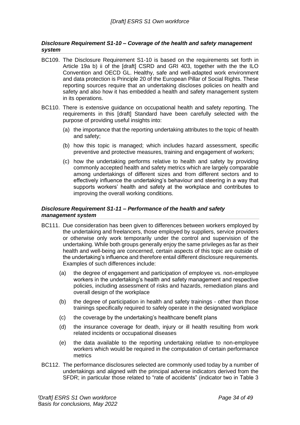#### <span id="page-33-0"></span>*Disclosure Requirement S1-10 – Coverage of the health and safety management system*

- BC109. The Disclosure Requirement S1-10 is based on the requirements set forth in Article 19a b) ii of the [draft] CSRD and GRI 403, together with the the ILO Convention and OECD GL. Healthy, safe and well-adapted work environment and data protection is Principle 20 of the European Pillar of Social Rights. These reporting sources require that an undertaking discloses policies on health and safety and also how it has embedded a health and safety management system in its operations.
- BC110. There is extensive guidance on occupational health and safety reporting. The requirements in this [draft] Standard have been carefully selected with the purpose of providing useful insights into:
	- (a) the importance that the reporting undertaking attributes to the topic of health and safety;
	- (b) how this topic is managed; which includes hazard assessment, specific preventive and protective measures, training and engagement of workers;
	- (c) how the undertaking performs relative to health and safety by providing commonly accepted health and safety metrics which are largely comparable among undertakings of different sizes and from different sectors and to effectively influence the undertaking's behaviour and steering in a way that supports workers' health and safety at the workplace and contributes to improving the overall working conditions.

#### <span id="page-33-1"></span>*Disclosure Requirement S1-11 – Performance of the health and safety management system*

- BC111. Due consideration has been given to differences between workers employed by the undertaking and freelancers, those employed by suppliers, service providers or otherwise only work temporarily under the control and supervision of the undertaking. While both groups generally enjoy the same privileges as far as their health and well-being are concerned, certain aspects of this topic are outside of the undertaking's influence and therefore entail different disclosure requirements. Examples of such differences include:
	- (a) the degree of engagement and participation of employee vs. non-employee workers in the undertaking's health and safety management and respective policies, including assessment of risks and hazards, remediation plans and overall design of the workplace
	- (b) the degree of participation in health and safety trainings other than those trainings specifically required to safely operate in the designated workplace
	- (c) the coverage by the undertaking's healthcare benefit plans
	- (d) the insurance coverage for death, injury or ill health resulting from work related incidents or occupational diseases
	- (e) the data available to the reporting undertaking relative to non-employee workers which would be required in the computation of certain performance metrics
- BC112. The performance disclosures selected are commonly used today by a number of undertakings and aligned with the principal adverse indicators derived from the SFDR; in particular those related to "rate of accidents" (indicator two in Table 3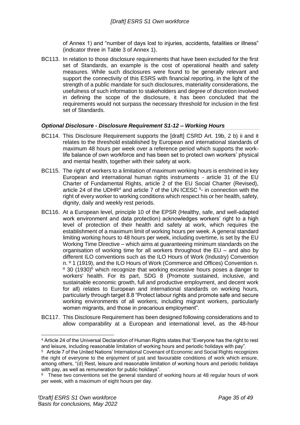of Annex 1) and "number of days lost to injuries, accidents, fatalities or illness" (indicator three in Table 3 of Annex 1).

BC113. In relation to those disclosure requirements that have been excluded for the first set of Standards, an example is the cost of operational health and safety measures. While such disclosures were found to be generally relevant and support the connectivity of this ESRS with financial reporting, in the light of the strength of a public mandate for such disclosures, materiality considerations, the usefulness of such information to stakeholders and degree of discretion involved in defining the scope of the disclosure, it has been concluded that the requirements would not surpass the necessary threshold for inclusion in the first set of Standards.

#### <span id="page-34-0"></span>*Optional Disclosure - Disclosure Requirement S1-12 – Working Hours*

- BC114. This Disclosure Requirement supports the [draft] CSRD Art. 19b, 2 b) ii and it relates to the threshold established by European and international standards of maximum 48 hours per week over a reference period which supports the worklife balance of own workforce and has been set to protect own workers' physical and mental health, together with their safety at work.
- BC115. The right of workers to a limitation of maximum working hours is enshrined in key European and international human rights instruments - article 31 of the EU Charter of Fundamental Rights, article 2 of the EU Social Charter (Revised), article 24 of the UDHR<sup>4</sup> and article 7 of the UN ICESC  $5$ - in connection with the right of every worker to working conditions which respect his or her health, safety, dignity, daily and weekly rest periods.
- BC116. At a European level, principle 10 of the EPSR (Healthy, safe, and well-adapted work environment and data protection) acknowledges workers' right to a high level of protection of their health and safety at work, which requires the establishment of a maximum limit of working hours per week. A general standard limiting working hours to 48 hours per week, including overtime, is set by the EU Working Time Directive – which aims at guaranteeing minimum standards on the organisation of working time for all workers throughout the EU – and also by different ILO conventions such as the ILO Hours of Work (Industry) Convention n. º 1 (1919), and the ILO Hours of Work (Commerce and Offices) Convention n.  $\degree$  30 (1930) $\degree$  which recognize that working excessive hours poses a danger to workers' health. For its part, SDG 8 (Promote sustained, inclusive, and sustainable economic growth, full and productive employment, and decent work for all) relates to European and international standards on working hours, particularly through target 8.8 "Protect labour rights and promote safe and secure working environments of all workers, including migrant workers, particularly women migrants, and those in precarious employment".
- BC117. This Disclosure Requirement has been designed following considerations and to allow comparability at a European and international level, as the 48-hour

<sup>4</sup> Article 24 of the Universal Declaration of Human Rights states that "Everyone has the right to rest and leisure, including reasonable limitation of working hours and periodic holidays with pay".

 $5$  Article 7 of the United Nations' International Covenant of Economic and Social Rights recognizes the right of everyone to the enjoyment of just and favourable conditions of work which ensure, among others, "(d) Rest, leisure and reasonable limitation of working hours and periodic holidays with pay, as well as remuneration for public holidays".

<sup>&</sup>lt;sup>6</sup> These two conventions set the general standard of working hours at 48 regular hours of work per week, with a maximum of eight hours per day.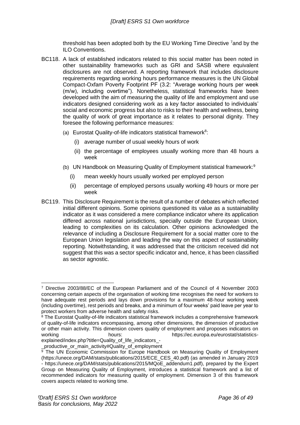threshold has been adopted both by the EU Working Time Directive <sup>7</sup>and by the ILO Conventions.

- BC118. A lack of established indicators related to this social matter has been noted in other sustainability frameworks such as GRI and SASB where equivalent disclosures are not observed. A reporting framework that includes disclosure requirements regarding working hours performance measures is the UN Global Compact-Oxfam Poverty Footprint PF (3.2: "Average working hours per week (m/w), including overtime"). Nonetheless, statistical frameworks have been developed with the aim of measuring the quality of life and employment and use indicators designed considering work as a key factor associated to individuals' social and economic progress but also to risks to their health and wellness, being the quality of work of great importance as it relates to personal dignity. They foresee the following performance measures:
	- (a) Eurostat Quality-of-life indicators statistical framework<sup>8</sup>:
		- (i) average number of usual weekly hours of work
		- (ii) the percentage of employees usually working more than 48 hours a week
	- (b) UN Handbook on Measuring Quality of Employment statistical framework:<sup>9</sup>
		- (i) mean weekly hours usually worked per employed person
		- (ii) percentage of employed persons usually working 49 hours or more per week
- BC119. This Disclosure Requirement is the result of a number of debates which reflected initial different opinions. Some opinions questioned its value as a sustainability indicator as it was considered a mere compliance indicator where its application differed across national jurisdictions, specially outside the European Union, leading to complexities on its calculation. Other opinions acknowledged the relevance of including a Disclosure Requirement for a social matter core to the European Union legislation and leading the way on this aspect of sustainability reporting. Notwithstanding, it was addressed that the criticism received did not suggest that this was a sector specific indicator and, hence, it has been classified as sector agnostic.

<sup>7</sup> Directive 2003/88/EC of the European Parliament and of the Council of 4 November 2003 concerning certain aspects of the organisation of working time recognises the need for workers to have adequate rest periods and lays down provisions for a maximum 48-hour working week (including overtime), rest periods and breaks, and a minimum of four weeks' paid leave per year to protect workers from adverse health and safety risks.

<sup>&</sup>lt;sup>8</sup> The Eurostat Quality-of-life indicators statistical framework includes a comprehensive framework of quality-of-life indicators encompassing, among other dimensions, the dimension of productive or other main activity. This dimension covers quality of employment and proposes indicators on working hours:<br>https://ec.europa.eu/eurostat/statisticshours: hours: https://ec.europa.eu/eurostat/statistics-

explained/index.php?title=Quality\_of\_life\_indicators\_-

\_productive\_or\_main\_activity#Quality\_of\_employment

<sup>&</sup>lt;sup>9</sup> The UN Economic Commission for Europe Handbook on Measuring Quality of Employment (https://unece.org/DAM/stats/publications/2015/ECE\_CES\_40.pdf) (as amended in January 2019 - https://unece.org/DAM/stats/publications/2015/MQoE\_addendum1.pdf), prepared by the Expert Group on Measuring Quality of Employment, introduces a statistical framework and a list of recommended indicators for measuring quality of employment. Dimension 3 of this framework covers aspects related to working time.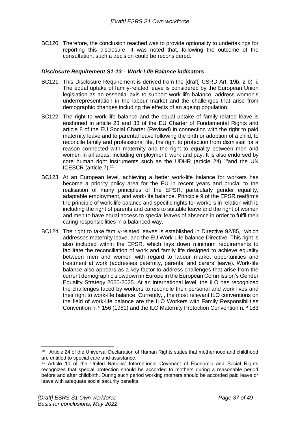BC120. Therefore, the conclusion reached was to provide optionality to undertakings for reporting this disclosure. It was noted that, following the outcome of the consultation, such a decision could be reconsidered.

#### <span id="page-36-0"></span>*Disclosure Requirement S1-13 – Work-Life Balance indicators*

- BC121. This Disclosure Requirement is derived from the [draft] CSRD Art. 19b, 2 b) ii. The equal uptake of family-related leave is considered by the European Union legislation as an essential axis to support work-life balance, address women's underrepresentation in the labour market and the challenges that arise from demographic changes including the effects of an ageing population.
- BC122. The right to work-life balance and the equal uptake of family-related leave is enshrined in article 23 and 33 of the EU Charter of Fundamental Rights and article 8 of the EU Social Charter (Revised) in connection with the right to paid maternity leave and to parental leave following the birth or adoption of a child, to reconcile family and professional life, the right to protection from dismissal for a reason connected with maternity and the right to equality between men and women in all areas, including employment, work and pay. It is also endorsed by core human right instruments such as the UDHR (article 24)  $10$  and the UN ICESCR (article 7).<sup>11</sup>
- BC123. At an European level, achieving a better work-life balance for workers has become a priority policy area for the EU in recent years and crucial to the realisation of many principles of the EPSR, particularly gender equality, adaptable employment, and work-life balance. Principle 9 of the EPSR reaffirms the principle of work-life balance and specific rights for workers in relation with it, including the right of parents and carers to suitable leave and the right of women and men to have equal access to special leaves of absence in order to fulfil their caring responsibilities in a balanced way.
- BC124. The right to take family-related leaves is established in Directive 92/85, which addresses maternity leave, and the EU Work-Life balance Directive. This right is also included within the EPSR, which lays down minimum requirements to facilitate the reconciliation of work and family life designed to achieve equality between men and women with regard to labour market opportunities and treatment at work (addresses paternity, parental and carers' leave). Work-life balance also appears as a key factor to address challenges that arise from the current demographic slowdown in Europe in the European Commission's Gender Equality Strategy 2020-2025. At an international level, the ILO has recognized the challenges faced by workers to reconcile their personal and work lives and their right to work-life balance. Currently, , the most relevant ILO conventions on the field of work-life balance are the ILO Workers with Family Responsibilities Convention n. º 156 (1981) and the ILO Maternity Protection Convention n. º 183

<sup>&</sup>lt;sup>10</sup> Article 24 of the Universal Declaration of Human Rights states that motherhood and childhood are entitled to special care and assistance.

<sup>11</sup> Article 10 of the United Nations' International Covenant of Economic and Social Rights recognizes that special protection should be accorded to mothers during a reasonable period before and after childbirth. During such period working mothers should be accorded paid leave or leave with adequate social security benefits.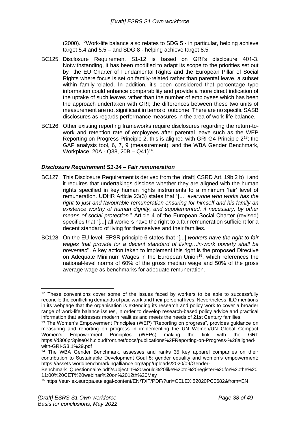(2000). <sup>12</sup>Work-life balance also relates to SDG 5 - in particular, helping achieve target 5.4 and 5.5 – and SDG 8 - helping achieve target 8.5.

- BC125. Disclosure Requirement S1-12 is based on GRI's disclosure 401-3. Notwithstanding, it has been modified to adapt its scope to the priorities set out by the EU Charter of Fundamental Rights and the European Pillar of Social Rights where focus is set on family-related rather than parental leave, a subset within family-related. In addition, it's been considered that percentage type information could enhance comparability and provide a more direct indication of the uptake of such leaves rather than the number of employees which has been the approach undertaken with GRI; the differences between these two units of measurement are not significant in terms of outcome. There are no specific SASB disclosures as regards performance measures in the area of work-life balance.
- BC126. Other existing reporting frameworks require disclosures regarding the return-towork and retention rate of employees after parental leave such as the WEP Reporting on Progress Principle 2, this is aligned with GRI G4 Principle 2<sup>13</sup>; the GAP analysis tool, 6, 7, 9 (measurement); and the WBA Gender Benchmark, Workplace, 20A - Q38, 20B – Q41)<sup>14</sup>.

#### <span id="page-37-0"></span>*Disclosure Requirement S1-14 – Fair remuneration*

- BC127. This Disclosure Requirement is derived from the [draft] CSRD Art. 19b 2 b) ii and it requires that undertakings disclose whether they are aligned with the human rights specified in key human rights instruments to a minimum 'fair' level of remuneration. UDHR Article 23(3) states that "[...] *everyone who works has the right to just and favourable remuneration ensuring for himself and his family an*  existence worthy of human dignity, and supplemented, if necessary, by other *means of social protection*." Article 4 of the European Social Charter (revised) specifies that "[...] all workers have the right to a fair remuneration sufficient for a decent standard of living for themselves and their families.
- BC128. On the EU level, EPSR principle 6 states that "[...] *workers have the right to fair wages that provide for a decent standard of living…in-work poverty shall be prevented*". A key action taken to implement this right is the proposed Directive on Adequate Minimum Wages in the European Union<sup>15</sup>, which references the national-level norms of 60% of the gross median wage and 50% of the gross average wage as benchmarks for adequate remuneration.

<sup>&</sup>lt;sup>12</sup> These conventions cover some of the issues faced by workers to be able to successfully reconcile the conflicting demands of paid work and their personal lives. Nevertheless, ILO mentions in its webpage that the organisation is extending its research and policy work to cover a broader range of work-life balance issues, in order to develop research-based policy advice and practical information that addresses modern realities and meets the needs of 21st Century families.

<sup>13</sup> The Women's Empowerment Principles (WEP) "Reporting on progress", provides guidance on measuring and reporting on progress in implementing the UN Women/UN Global Compact Women's Empowerment Principles (WEPs) making the link with the GRI: Women's Empowerment Principles (WEPs) making the link with the GRI: https://d306pr3pise04h.cloudfront.net/docs/publications%2FReporting-on-Progress-%28alignedwith-GRI-G3.1%29.pdf

<sup>&</sup>lt;sup>14</sup> The WBA Gender Benchmark, assesses and ranks 35 key apparel companies on their contribution to Sustainable Development Goal 5: gender equality and women's empowerment: https://assets.worldbenchmarkingalliance.org/app/uploads/2020/09/Gender-

Benchmark\_Questionnaire.pdf?subject=I%20would%20like%20to%20register%20for%20the%20 11:00%20CET%20webinar%20on%2012th%20May

<sup>15</sup> https://eur-lex.europa.eu/legal-content/EN/TXT/PDF/?uri=CELEX:52020PC0682&from=EN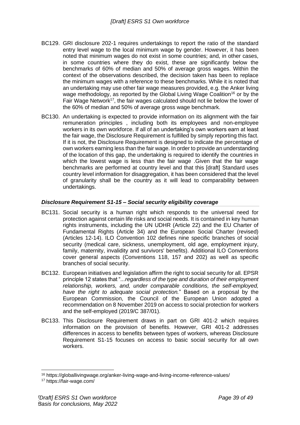- BC129. GRI disclosure 202-1 requires undertakings to report the ratio of the standard entry level wage to the local minimum wage by gender. However, it has been noted that minimum wages do not exist in some countries; and, in other cases, in some countries where they do exist, these are significantly below the benchmarks of 60% of median and 50% of average gross wages. Within the context of the observations described, the decision taken has been to replace the minimum wages with a reference to these benchmarks. While it is noted that an undertaking may use other fair wage measures provided, e.g. the Anker living wage methodology, as reported by the Global Living Wage Coalition<sup>16</sup> or by the Fair Wage Network<sup>17</sup>, the fair wages calculated should not lie below the lower of the 60% of median and 50% of average gross wage benchmark.
- BC130. An undertaking is expected to provide information on its alignment with the fair remuneration principles , including both its employees and non-employee workers in its own workforce. If all of an undertaking's own workers earn at least the fair wage, the Disclosure Requirement is fulfilled by simply reporting this fact. If it is not, the Disclosure Requirement is designed to indicate the percentage of own workers earning less than the fair wage. In order to provide an understanding of the location of this gap, the undertaking is required to identify the countries in which the lowest wage is less than the fair wage .Given that the fair wage benchmarks are performed at country level and that this [draft] Standard uses country level information for disaggregation, it has been considered that the level of granularity shall be the country as it will lead to comparability between undertakings.

#### <span id="page-38-0"></span>*Disclosure Requirement S1-15 – Social security eligibility coverage*

- BC131. Social security is a human right which responds to the universal need for protection against certain life risks and social needs. It is contained in key human rights instruments, including the UN UDHR (Article 22) and the EU Charter of Fundamental Rights (Article 34) and the European Social Charter (revised) (Articles 12-14). ILO Convention 102 defines nine specific branches of social security (medical care, sickness, unemployment, old age, employment injury, family, maternity, invalidity and survivors' benefits). Additional ILO Conventions cover general aspects (Conventions 118, 157 and 202) as well as specific branches of social security.
- BC132. European initiatives and legislation affirm the right to social security for all. EPSR principle 12 states that "*...regardless of the type and duration of their employment relationship, workers, and, under comparable conditions, the self-employed, have the right to adequate social protection.*" Based on a proposal by the European Commission, the Council of the European Union adopted a recommendation on 8 November 2019 on access to social protection for workers and the self-employed (2019/C 387/01).
- BC133. This Disclosure Requirement draws in part on GRI 401-2 which requires information on the provision of benefits. However, GRI 401-2 addresses differences in access to benefits between types of workers, whereas Disclosure Requirement S1-15 focuses on access to basic social security for all own workers.

<sup>16</sup> https://globallivingwage.org/anker-living-wage-and-living-income-reference-values/

<sup>17</sup> https://fair-wage.com/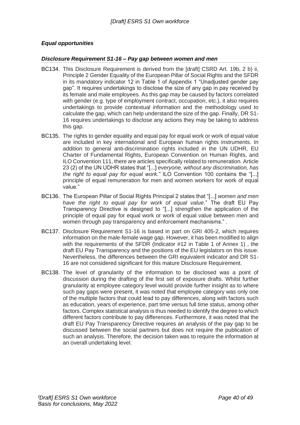### <span id="page-39-0"></span>*Equal opportunities*

#### <span id="page-39-1"></span>*Disclosure Requirement S1-16 – Pay gap between women and men*

- BC134. This Disclosure Requirement is derived from the [draft] CSRD Art. 19b, 2 b) ii, Principle 2 Gender Equality of the European Pillar of Social Rights and the SFDR in its mandatory indicator 12 in Table 1 of Appendix 1 "Unadjusted gender pay gap". It requires undertakings to disclose the size of any gap in pay received by its female and male employees. As this gap may be caused by factors correlated with gender (e.g. type of employment contract, occupation, etc.), it also requires undertakings to provide contextual information and the methodology used to calculate the gap, which can help understand the size of the gap. Finally, DR S1- 16 requires undertakings to disclose any actions they may be taking to address this gap.
- BC135. The rights to gender equality and equal pay for equal work or work of equal value are included in key international and European human rights instruments. In addition to general anti-discrimination rights included in the UN UDHR, EU Charter of Fundamental Rights, European Convention on Human Rights, and ILO Convention 111, there are articles specifically related to remuneration. Article 23 (2) of the UN UDHR states that "[...] *everyone, without any discrimination, has the right to equal pay for equal work."* ILO Convention 100 contains the "[...] principle of equal remuneration for men and women workers for work of equal value."
- BC136. The European Pillar of Social Rights Principal 2 states that "[...] *women and men have the right to equal pay for work of equal value*." The draft EU Pay Transparency Directive is designed to "[...] strengthen the application of the principle of equal pay for equal work or work of equal value between men and women through pay transparency and enforcement mechanisms." .
- BC137. Disclosure Requirement S1-16 is based in part on GRI 405-2, which requires information on the male-female wage gap. However, it has been modified to align with the requirements of the SFDR (Indicator #12 in Table 1 of Annex 1) , the draft EU Pay Transparency and the positions of the EU legislators on this issue. Nevertheless, the differences between the GRI equivalent indicator and DR S1- 16 are not considered significant for this mature Disclosure Requirement.
- BC138. The level of granularity of the information to be disclosed was a point of discussion during the drafting of the first set of exposure drafts. Whilst further granularity at employee category level would provide further insight as to where such pay gaps were present, it was noted that employee category was only one of the multiple factors that could lead to pay differences, along with factors such as education, years of experience, part time versus full time status, among other factors. Complex statistical analysis is thus needed to identify the degree to which different factors contribute to pay differences. Furthermore, it was noted that the draft EU Pay Transparency Directive requires an analysis of the pay gap to be discussed between the social partners but does not require the publication of such an analysis. Therefore, the decision taken was to require the information at an overall undertaking level.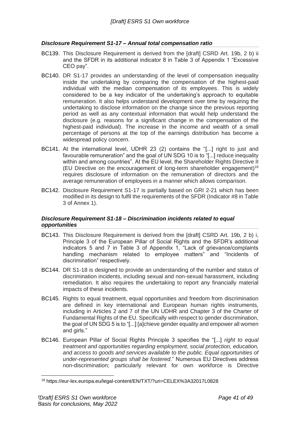#### <span id="page-40-0"></span>*Disclosure Requirement S1-17 – Annual total compensation ratio*

- BC139. This Disclosure Requirement is derived from the [draft] CSRD Art. 19b, 2 b) ii and the SFDR in its additional indicator 8 in Table 3 of Appendix 1 "Excessive CEO pay".
- BC140. DR S1-17 provides an understanding of the level of compensation inequality inside the undertaking by comparing the compensation of the highest-paid individual with the median compensation of its employees. This is widely considered to be a key indicator of the undertaking's approach to equitable remuneration. It also helps understand development over time by requiring the undertaking to disclose information on the change since the previous reporting period as well as any contextual information that would help understand the disclosure (e.g. reasons for a significant change in the compensation of the highest-paid individual). The increase in the income and wealth of a small percentage of persons at the top of the earnings distribution has become a widespread policy concern.
- BC141. At the international level, UDHR 23 (2) contains the "[...] right to just and favourable remuneration" and the goal of UN SDG 10 is to "[...] reduce inequality within and among countries". At the EU level, the Shareholder Rights Directive II (EU Directive on the encouragement of long-term shareholder engagement)<sup>18</sup> requires disclosure of information on the remuneration of directors and the average remuneration of employees in a manner which allows comparison.
- BC142. Disclosure Requirement S1-17 is partially based on GRI 2-21 which has been modified in its design to fulfil the requirements of the SFDR (Indicator #8 in Table 3 of Annex 1).

#### <span id="page-40-1"></span>*Disclosure Requirement S1-18 – Discrimination incidents related to equal opportunities*

- BC143. This Disclosure Requirement is derived from the [draft] CSRD Art. 19b, 2 b) i, Principle 3 of the European Pillar of Social Rights and the SFDR's additional indicators 5 and 7 in Table 3 of Appendix 1, "Lack of grievance/complaints handling mechanism related to employee matters" and "Incidents of discrimination" respectively.
- BC144. DR S1-18 is designed to provide an understanding of the number and status of discrimination incidents, including sexual and non-sexual harassment, including remediation. It also requires the undertaking to report any financially material impacts of these incidents.
- BC145. Rights to equal treatment, equal opportunities and freedom from discrimination are defined in key international and European human rights instruments, including in Articles 2 and 7 of the UN UDHR and Chapter 3 of the Charter of Fundamental Rights of the EU. Specifically with respect to gender discrimination, the goal of UN SDG 5 is to "[...] [a]chieve gender equality and empower all women and girls."
- BC146. European Pillar of Social Rights Principle 3 specifies the "[...] *right to equal treatment and opportunities regarding employment, social protection, education, and access to goods and services available to the public. Equal opportunities of under-represented groups shall be fostered*." Numerous EU Directives address non-discrimination; particularly relevant for own workforce is Directive

<sup>18</sup> https://eur-lex.europa.eu/legal-content/EN/TXT/?uri=CELEX%3A32017L0828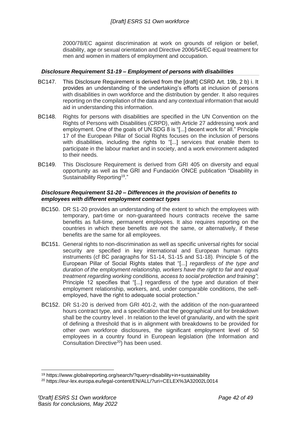2000/78/EC against discrimination at work on grounds of religion or belief, disability, age or sexual orientation and Directive 2006/54/EC equal treatment for men and women in matters of employment and occupation.

#### <span id="page-41-0"></span>*Disclosure Requirement S1-19 – Employment of persons with disabilities*

- BC147. This Disclosure Requirement is derived from the [draft] CSRD Art. 19b, 2 b) i. It provides an understanding of the undertaking's efforts at inclusion of persons with disabilities in own workforce and the distribution by gender. It also requires reporting on the compilation of the data and any contextual information that would aid in understanding this information.
- BC148. Rights for persons with disabilities are specified in the UN Convention on the Rights of Persons with Disabilities (CRPD), with Article 27 addressing work and employment. One of the goals of UN SDG 8 is "[...] decent work for all." Principle 17 of the European Pillar of Social Rights focuses on the inclusion of persons with disabilities, including the rights to "[...] services that enable them to participate in the labour market and in society, and a work environment adapted to their needs.
- BC149. This Disclosure Requirement is derived from GRI 405 on diversity and equal opportunity as well as the GRI and Fundación ONCE publication "Disability in Sustainability Reporting<sup>19</sup>."

#### <span id="page-41-1"></span>*Disclosure Requirement S1-20 – Differences in the provision of benefits to employees with different employment contract types*

- BC150. DR S1-20 provides an understanding of the extent to which the employees with temporary, part-time or non-guaranteed hours contracts receive the same benefits as full-time, permanent employees. It also requires reporting on the countries in which these benefits are not the same, or alternatively, if these benefits are the same for all employees.
- BC151. General rights to non-discrimination as well as specific universal rights for social security are specified in key international and European human rights instruments (cf BC paragraphs for S1-14, S1-15 and S1-18). Principle 5 of the European Pillar of Social Rights states that "[...] *regardless of the type and duration of the employment relationship, workers have the right to fair and equal treatment regarding working conditions, access to social protection and training"*; Principle 12 specifies that "[...] regardless of the type and duration of their employment relationship, workers, and, under comparable conditions, the selfemployed, have the right to adequate social protection."
- BC152. DR S1-20 is derived from GRI 401-2, with the addition of the non-guaranteed hours contract type, and a specification that the geographical unit for breakdown shall be the country level . In relation to the level of granularity, and with the spirit of defining a threshold that is in alignment with breakdowns to be provided for other own workforce disclosures, the significant employment level of 50 employees in a country found in European legislation (the Information and Consultation Directive<sup>20</sup>) has been used.

<sup>19</sup> https://www.globalreporting.org/search/?query=disability+in+sustainability

<sup>20</sup> https://eur-lex.europa.eu/legal-content/EN/ALL/?uri=CELEX%3A32002L0014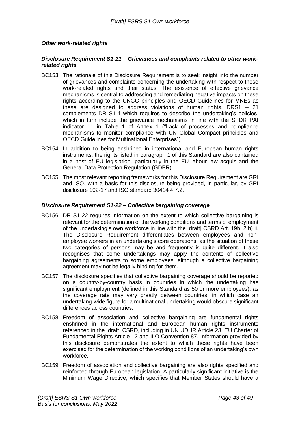#### <span id="page-42-0"></span>*Other work-related rights*

#### <span id="page-42-1"></span>*Disclosure Requirement S1-21 – Grievances and complaints related to other workrelated rights*

- BC153. The rationale of this Disclosure Requirement is to seek insight into the number of grievances and complaints concerning the undertaking with respect to these work-related rights and their status. The existence of effective grievance mechanisms is central to addressing and remediating negative impacts on these rights according to the UNGC principles and OECD Guidelines for MNEs as these are designed to address violations of human rights. DRS1 – 21 complements DR S1-1 which requires to describe the undertaking's policies, which in turn include the grievance mechanisms in line with the SFDR PAI indicator 11 in Table 1 of Annex 1 ("Lack of processes and compliance mechanisms to monitor compliance with UN Global Compact principles and OECD Guidelines for Multinational Enterprises").
- BC154. In addition to being enshrined in international and European human rights instruments, the rights listed in paragraph 1 of this Standard are also contained in a host of EU legislation, particularly in the EU labour law acquis and the General Data Protection Regulation (GDPR).
- BC155. The most relevant reporting frameworks for this Disclosure Requirement are GRI and ISO, with a basis for this disclosure being provided, in particular, by GRI disclosure 102-17 and ISO standard 30414 4.7.2.

#### <span id="page-42-2"></span>*Disclosure Requirement S1-22 – Collective bargaining coverage*

- BC156. DR S1-22 requires information on the extent to which collective bargaining is relevant for the determination of the working conditions and terms of employment of the undertaking's own workforce in line with the [draft] CSRD Art. 19b, 2 b) ii. The Disclosure Requirement differentiates between employees and nonemployee workers in an undertaking's core operations, as the situation of these two categories of persons may be and frequently is quite different. It also recognises that some undertakings may apply the contents of collective bargaining agreements to some employees, although a collective bargaining agreement may not be legally binding for them.
- BC157. The disclosure specifies that collective bargaining coverage should be reported on a country-by-country basis in countries in which the undertaking has significant employment (defined in this Standard as 50 or more employees), as the coverage rate may vary greatly between countries, in which case an undertaking-wide figure for a multinational undertaking would obscure significant differences across countries.
- BC158. Freedom of association and collective bargaining are fundamental rights enshrined in the international and European human rights instruments referenced in the [draft] CSRD, including in UN UDHR Article 23, EU Charter of Fundamental Rights Article 12 and ILO Convention 87. Information provided by this disclosure demonstrates the extent to which these rights have been exercised for the determination of the working conditions of an undertaking's own workforce.
- BC159. Freedom of association and collective bargaining are also rights specified and reinforced through European legislation. A particularly significant initiative is the Minimum Wage Directive, which specifies that Member States should have a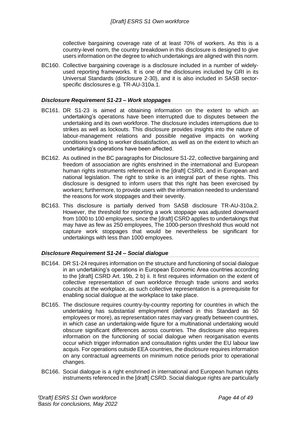collective bargaining coverage rate of at least 70% of workers. As this is a country-level norm, the country breakdown in this disclosure is designed to give users information on the degree to which undertakings are aligned with this norm.

BC160. Collective bargaining coverage is a disclosure included in a number of widelyused reporting frameworks. It is one of the disclosures included by GRI in its Universal Standards (disclosure 2-30), and it is also included in SASB sectorspecific disclosures e.g. TR-AU-310a.1.

#### <span id="page-43-0"></span>*Disclosure Requirement S1-23 – Work stoppages*

- BC161. DR S1-23 is aimed at obtaining information on the extent to which an undertaking's operations have been interrupted due to disputes between the undertaking and its own workforce. The disclosure includes interruptions due to strikes as well as lockouts. This disclosure provides insights into the nature of labour-management relations and possible negative impacts on working conditions leading to worker dissatisfaction, as well as on the extent to which an undertaking's operations have been affected.
- BC162. As outlined in the BC paragraphs for Disclosure S1-22, collective bargaining and freedom of association are rights enshrined in the international and European human rights instruments referenced in the [draft] CSRD, and in European and national legislation. The right to strike is an integral part of these rights. This disclosure is designed to inform users that this right has been exercised by workers; furthermore, to provide users with the information needed to understand the reasons for work stoppages and their severity.
- BC163. This disclosure is partially derived from SASB disclosure TR-AU-310a.2. However, the threshold for reporting a work stoppage was adjusted downward from 1000 to 100 employees, since the [draft] CSRD applies to undertakings that may have as few as 250 employees, The 1000-person threshold thus would not capture work stoppages that would be nevertheless be significant for undertakings with less than 1000 employees.

#### <span id="page-43-1"></span>*Disclosure Requirement S1-24 – Social dialogue*

- BC164. DR S1-24 requires information on the structure and functioning of social dialogue in an undertaking's operations in European Economic Area countries according to the [draft] CSRD Art. 19b, 2 b) ii. It first requires information on the extent of collective representation of own workforce through trade unions and works councils at the workplace, as such collective representation is a prerequisite for enabling social dialogue at the workplace to take place.
- BC165. The disclosure requires country-by-country reporting for countries in which the undertaking has substantial employment (defined in this Standard as 50 employees or more), as representation rates may vary greatly between countries, in which case an undertaking-wide figure for a multinational undertaking would obscure significant differences across countries. The disclosure also requires information on the functioning of social dialogue when reorganisation events occur which trigger information and consultation rights under the EU labour law acquis. For operations outside EEA countries, the disclosure requires information on any contractual agreements on minimum notice periods prior to operational changes.
- BC166. Social dialogue is a right enshrined in international and European human rights instruments referenced in the [draft] CSRD. Social dialogue rights are particularly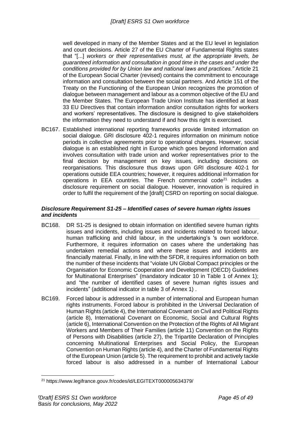well developed in many of the Member States and at the EU level in legislation and court decisions. Article 27 of the EU Charter of Fundamental Rights states that "[...] *workers or their representatives must, at the appropriate levels, be guaranteed information and consultation in good time in the cases and under the conditions provided for by Union law and national laws and practices."* Article 21 of the European Social Charter (revised) contains the commitment to encourage information and consultation between the social partners. And Article 151 of the Treaty on the Functioning of the European Union recognizes the promotion of dialogue between management and labour as a common objective of the EU and the Member States. The European Trade Union Institute has identified at least 33 EU Directives that contain information and/or consultation rights for workers and workers' representatives. The disclosure is designed to give stakeholders the information they need to understand if and how this right is exercised.

BC167. Established international reporting frameworks provide limited information on social dialogue. GRI disclosure 402-1 requires information on minimum notice periods in collective agreements prior to operational changes. However, social dialogue is an established right in Europe which goes beyond information and involves consultation with trade union and worker representatives prior to the final decision by management on key issues, including decisions on reorganisations. This disclosure thus draws upon GRI disclosure 402-1 for operations outside EEA countries; however, it requires additional information for operations in EEA countries. The French commercial code $2^1$  includes a disclosure requirement on social dialogue. However, innovation is required in order to fulfil the requirement of the [draft] CSRD on reporting on social dialogue.

#### <span id="page-44-0"></span>*Disclosure Requirement S1-25 – Identified cases of severe human rights issues and incidents*

- BC168. DR S1-25 is designed to obtain information on identified severe human rights issues and incidents, including issues and incidents related to forced labour, human trafficking and child labour, in the undertaking's 's own workforce. Furthermore, it requires information on cases where the undertaking has undertaken remedial actions and where these issues and incidents are financially material. Finally, in line with the SFDR, it requires information on both the number of these incidents that "violate UN Global Compact principles or the Organisation for Economic Cooperation and Development (OECD) Guidelines for Multinational Enterprises" (mandatory indicator 10 in Table 1 of Annex 1); and "the number of identified cases of severe human rights issues and incidents" (additional indicator in table 3 of Annex 1) .
- BC169. Forced labour is addressed in a number of international and European human rights instruments. Forced labour is prohibited in the Universal Declaration of Human Rights (article 4), the International Covenant on Civil and Political Rights (article 8), International Covenant on Economic, Social and Cultural Rights (article 6), International Convention on the Protection of the Rights of All Migrant Workers and Members of Their Families (article 11) Convention on the Rights of Persons with Disabilities (article 27), the Tripartite Declaration of Principles concerning Multinational Enterprises and Social Policy, the European Convention on Human Rights (article 4), and the Charter of Fundamental Rights of the European Union (article 5). The requirement to prohibit and actively tackle forced labour is also addressed in a number of International Labour

<sup>21</sup> https://www.legifrance.gouv.fr/codes/id/LEGITEXT000005634379/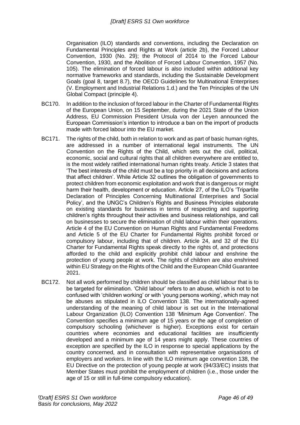Organisation (ILO) standards and conventions, including the Declaration on Fundamental Principles and Rights at Work (article 2b), the Forced Labour Convention, 1930 (No. 29); the Protocol of 2014 to the Forced Labour Convention, 1930, and the Abolition of Forced Labour Convention, 1957 (No. 105). The elimination of forced labour is also included within additional key normative frameworks and standards, including the Sustainable Development Goals (goal 8, target 8.7), the OECD Guidelines for Multinational Enterprises (V. Employment and Industrial Relations 1.d.) and the Ten Principles of the UN Global Compact (principle 4).

- BC170. In addition to the inclusion of forced labour in the Charter of Fundamental Rights of the European Union, on 15 September, during the 2021 State of the Union Address, EU Commission President Ursula von der Leyen announced the European Commission's intention to introduce a ban on the import of products made with forced labour into the EU market.
- BC171. The rights of the child, both in relation to work and as part of basic human rights, are addressed in a number of international legal instruments. The UN Convention on the Rights of the Child, which sets out the civil, political, economic, social and cultural rights that all children everywhere are entitled to, is the most widely ratified international human rights treaty. Article 3 states that 'The best interests of the child must be a top priority in all decisions and actions that affect children'. While Article 32 outlines the obligation of governments to protect children from economic exploitation and work that is dangerous or might harm their health, development or education. Article 27, of the ILO's 'Tripartite Declaration of Principles Concerning Multinational Enterprises and Social Policy', and the UNGC's Children's Rights and Business Principles elaborate on existing standards for business in terms of respecting and supporting children's rights throughout their activities and business relationships, and call on businesses to secure the elimination of child labour within their operations. Article 4 of the EU Convention on Human Rights and Fundamental Freedoms and Article 5 of the EU Charter for Fundamental Rights prohibit forced or compulsory labour, including that of children. Article 24, and 32 of the EU Charter for Fundamental Rights speak directly to the rights of, and protections afforded to the child and explicitly prohibit child labour and enshrine the protection of young people at work. The rights of children are also enshrined within EU Strategy on the Rights of the Child and the European Child Guarantee 2021.
- BC172. Not all work performed by children should be classified as child labour that is to be targeted for elimination. 'Child labour' refers to an abuse, which is not to be confused with 'children working' or with 'young persons working', which may not be abuses as stipulated in ILO Convention 138. The internationally-agreed understanding of the meaning of child labour is set out in the International Labour Organization (ILO) Convention 138 'Minimum Age Convention'. The Convention specifies a minimum age of 15 years or the age of completion of compulsory schooling (whichever is higher). Exceptions exist for certain countries where economies and educational facilities are insufficiently developed and a minimum age of 14 years might apply. These countries of exception are specified by the ILO in response to special applications by the country concerned, and in consultation with representative organisations of employers and workers. In line with the ILO minimum age convention 138, the EU Directive on the protection of young people at work (94/33/EC) insists that Member States must prohibit the employment of children (i.e., those under the age of 15 or still in full-time compulsory education).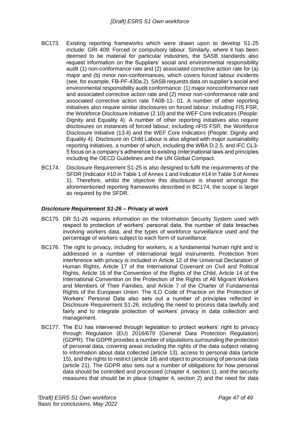- BC173. Existing reporting frameworks which were drawn upon to develop S1-25 include: GRI 409: Forced or compulsory labour. Similarly, where it has been deemed to be material for particular industries, the SASB standards also request information on the Suppliers' social and environmental responsibility audit (1) non-conformance rate and (2) associated corrective action rate for (a) major and (b) minor non-conformances, which covers forced labour incidents (see, for example, FB-PF-430a.2). SASB requests data on supplier's social and environmental responsibility audit conformance: (1) major nonconformance rate and associated corrective action rate and (2) minor non-conformance rate and associated corrective action rate TA08-11- 01. A number of other reporting initiatives also require similar disclosures on forced labour, including FIS FSR, the Workforce Disclosure Initiative (2.10) and the WEF Core Indicators (People: Dignity and Equality 4). A number of other reporting initiatives also require disclosures on instances of forced labour, including nFIS FSR, the Workforce Disclosure Initiative (13.4) and the WEF Core Indicators (People: Dignity and Equality 4). Disclosure on Child Labour is also aligned with major sustainability reporting initiatives, a number of which, including the WBA D.2.5, and IFC CL3- 5 focus on a company's adherence to existing (inter)national laws and principles including the OECD Guidelines and the UN Global Compact.
- BC174. Disclosure Requirement S1-25 is also designed to fulfil the requirements of the SFDR (Indicator #10 in Table 1 of Annex 1 and Indicator #14 in Table 3 of Annex 1). Therefore, whilst the objective this disclosure is shared amongst the aforementioned reporting frameworks described in BC174, the scope is larger as required by the SFDR.

#### <span id="page-46-0"></span>*Disclosure Requirement S1-26 – Privacy at work*

- BC175. DR S1-26 requires information on the Information Security System used with respect to protection of workers' personal data, the number of data breaches involving workers data, and the types of workforce surveillance used and the percentage of workers subject to each form of surveillance.
- BC176. The right to privacy, including for workers, is a fundamental human right and is addressed in a number of international legal instruments. Protection from interference with privacy is included in Article 12 of the Universal Declaration of Human Rights, Article 17 of the International Covenant on Civil and Political Rights, Article 16 of the Convention of the Rights of the Child, Article 14 of the International Convention on the Protection of the Rights of All Migrant Workers and Members of Their Families, and Article 7 of the Charter of Fundamental Rights of the European Union. The ILO Code of Practice on the Protection of Workers' Personal Data also sets out a number of principles reflected in Disclosure Requirement S1-26, including the need to process data lawfully and fairly and to integrate protection of workers' privacy in data collection and management.
- BC177. The EU has intervened through legislation to protect workers' right to privacy through Regulation (EU) 2016/679 (General Data Protection Regulation) (GDPR). The GDPR provides a number of stipulations surrounding the protection of personal data, covering areas including the rights of the data subject relating to information about data collected (article 13), access to personal data (article 15), and the rights to restrict (article 18) and object to processing of personal data (article 21). The GDPR also sets out a number of obligations for how personal data should be controlled and processed (chapter 4, section 1), and the security measures that should be in place (chapter 4, section 2) and the need for data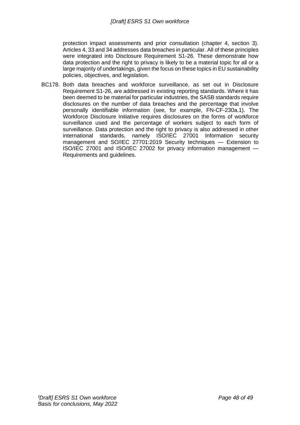protection impact assessments and prior consultation (chapter 4, section 3). Articles 4, 33 and 34 addresses data breaches in particular. All of these principles were integrated into Disclosure Requirement S1-26. These demonstrate how data protection and the right to privacy is likely to be a material topic for all or a large majority of undertakings, given the focus on these topics in EU sustainability policies, objectives, and legislation.

BC178. Both data breaches and workforce surveillance, as set out in Disclosure Requirement S1-26, are addressed in existing reporting standards. Where it has been deemed to be material for particular industries, the SASB standards require disclosures on the number of data breaches and the percentage that involve personally identifiable information (see, for example, FN-CF-230a.1). The Workforce Disclosure Initiative requires disclosures on the forms of workforce surveillance used and the percentage of workers subject to each form of surveillance. Data protection and the right to privacy is also addressed in other international standards, namely ISO/IEC 27001 Information security management and SO/IEC 27701:2019 Security techniques — Extension to ISO/IEC 27001 and ISO/IEC 27002 for privacy information management — Requirements and guidelines.